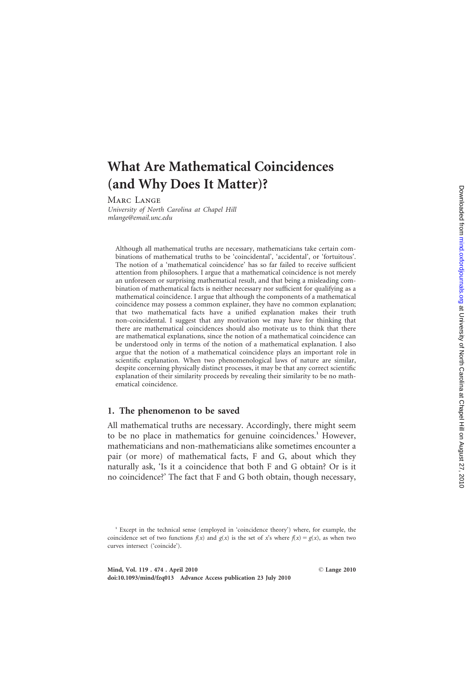# What Are Mathematical Coincidences (and Why Does It Matter)?

Marc Lange

University of North Carolina at Chapel Hill mlange@email.unc.edu

Although all mathematical truths are necessary, mathematicians take certain combinations of mathematical truths to be 'coincidental', 'accidental', or 'fortuitous'. The notion of a 'mathematical coincidence' has so far failed to receive sufficient attention from philosophers. I argue that a mathematical coincidence is not merely an unforeseen or surprising mathematical result, and that being a misleading combination of mathematical facts is neither necessary nor sufficient for qualifying as a mathematical coincidence. I argue that although the components of a mathematical coincidence may possess a common explainer, they have no common explanation; that two mathematical facts have a unified explanation makes their truth non-coincidental. I suggest that any motivation we may have for thinking that there are mathematical coincidences should also motivate us to think that there are mathematical explanations, since the notion of a mathematical coincidence can be understood only in terms of the notion of a mathematical explanation. I also argue that the notion of a mathematical coincidence plays an important role in scientific explanation. When two phenomenological laws of nature are similar, despite concerning physically distinct processes, it may be that any correct scientific explanation of their similarity proceeds by revealing their similarity to be no mathematical coincidence.

#### 1. The phenomenon to be saved

All mathematical truths are necessary. Accordingly, there might seem to be no place in mathematics for genuine coincidences.<sup>1</sup> However, mathematicians and non-mathematicians alike sometimes encounter a pair (or more) of mathematical facts, F and G, about which they naturally ask, 'Is it a coincidence that both F and G obtain? Or is it no coincidence?' The fact that F and G both obtain, though necessary,

<sup>&</sup>lt;sup>1</sup> Except in the technical sense (employed in 'coincidence theory') where, for example, the coincidence set of two functions  $f(x)$  and  $g(x)$  is the set of x's where  $f(x) = g(x)$ , as when two curves intersect ('coincide').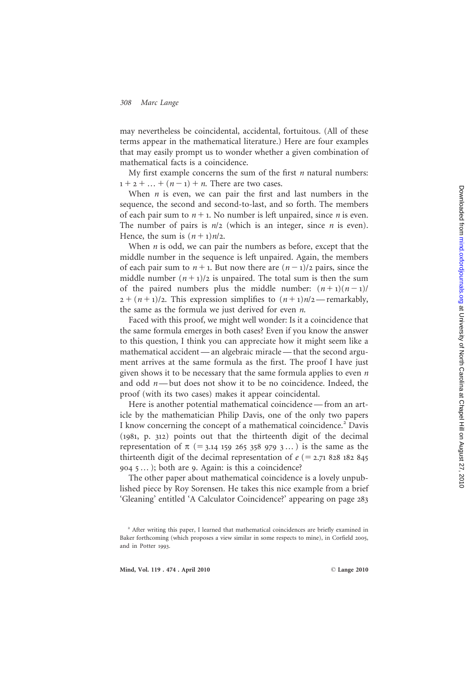may nevertheless be coincidental, accidental, fortuitous. (All of these terms appear in the mathematical literature.) Here are four examples that may easily prompt us to wonder whether a given combination of mathematical facts is a coincidence.

My first example concerns the sum of the first  $n$  natural numbers:  $1 + 2 + ... + (n - 1) + n$ . There are two cases.

When  $n$  is even, we can pair the first and last numbers in the sequence, the second and second-to-last, and so forth. The members of each pair sum to  $n + 1$ . No number is left unpaired, since *n* is even. The number of pairs is  $n/2$  (which is an integer, since *n* is even). Hence, the sum is  $(n+1)n/2$ .

When  $n$  is odd, we can pair the numbers as before, except that the middle number in the sequence is left unpaired. Again, the members of each pair sum to  $n + 1$ . But now there are  $(n - 1)/2$  pairs, since the middle number  $(n + 1)/2$  is unpaired. The total sum is then the sum of the paired numbers plus the middle number:  $(n+1)(n-1)$  $2 + (n+1)/2$ . This expression simplifies to  $(n+1)n/2$ —remarkably, the same as the formula we just derived for even *n*.

Faced with this proof, we might well wonder: Is it a coincidence that the same formula emerges in both cases? Even if you know the answer to this question, I think you can appreciate how it might seem like a mathematical accident — an algebraic miracle — that the second argument arrives at the same formula as the first. The proof I have just given shows it to be necessary that the same formula applies to even n and odd n —but does not show it to be no coincidence. Indeed, the proof (with its two cases) makes it appear coincidental.

Here is another potential mathematical coincidence — from an article by the mathematician Philip Davis, one of the only two papers I know concerning the concept of a mathematical coincidence. <sup>2</sup> Davis (1981, p. 312) points out that the thirteenth digit of the decimal representation of  $\pi$  (= 3.14 159 265 358 979 3...) is the same as the thirteenth digit of the decimal representation of  $e$  (= 2.71 828 182 845) 904 5 … ); both are 9. Again: is this a coincidence?

The other paper about mathematical coincidence is a lovely unpublished piece by Roy Sorensen. He takes this nice example from a brief 'Gleaning' entitled 'A Calculator Coincidence?' appearing on page 283

<sup>&</sup>lt;sup>2</sup> After writing this paper, I learned that mathematical coincidences are briefly examined in Baker forthcoming (which proposes a view similar in some respects to mine), in Corfield 2005 , and in Potter 1993 .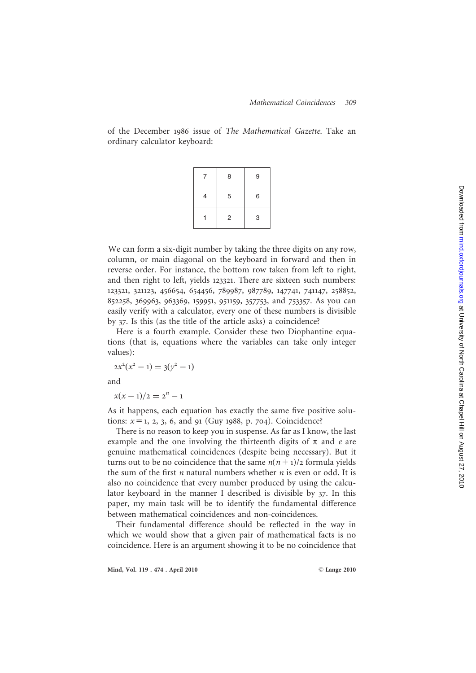of the December 1986 issue of The Mathematical Gazette. Take an ordinary calculator keyboard:

|   | 8 | 9 |
|---|---|---|
| 4 | 5 | 6 |
|   | 2 | 3 |

We can form a six-digit number by taking the three digits on any row, column, or main diagonal on the keyboard in forward and then in reverse order. For instance, the bottom row taken from left to right, and then right to left, yields 123321. There are sixteen such numbers: 123321 , 321123 , 456654 , 654456 , 789987 , 987789 , 147741 , 741147 , 258852 , 852258 , 369963 , 963369 , 159951 , 951159 , 357753, and 753357. As you can easily verify with a calculator, every one of these numbers is divisible by 37. Is this (as the title of the article asks) a coincidence?

Here is a fourth example. Consider these two Diophantine equations (that is, equations where the variables can take only integer values):

$$
2x^2(x^2 - 1) = 3(y^2 - 1)
$$

and

 $x(x-1)/2 = 2<sup>n</sup> - 1$ 

As it happens, each equation has exactly the same five positive solutions:  $x = 1, 2, 3, 6,$  and 91 (Guy 1988, p. 704). Coincidence?

There is no reason to keep you in suspense. As far as I know, the last example and the one involving the thirteenth digits of  $\pi$  and  $e$  are genuine mathematical coincidences (despite being necessary). But it turns out to be no coincidence that the same  $n(n+1)/2$  formula yields the sum of the first  $n$  natural numbers whether  $n$  is even or odd. It is also no coincidence that every number produced by using the calculator keyboard in the manner I described is divisible by 37. In this paper, my main task will be to identify the fundamental difference between mathematical coincidences and non-coincidences. **Example 18** 15 16<br>
11 2 3<br>
We can form a six-digit number by taking the three digits on any row<br>
column, or main diagonal on the keyboard in forward and then in<br>
reverse order. For instance, the bottom row taken from lef

Their fundamental difference should be reflected in the way in which we would show that a given pair of mathematical facts is no

Mind, Vol. 119 . 474 . April 2010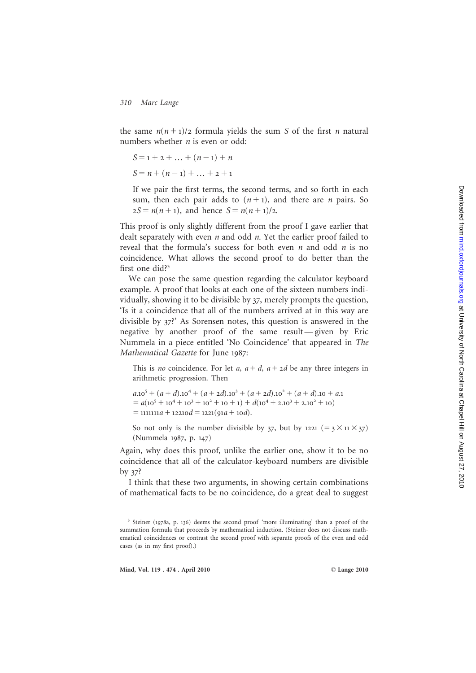Downloaded from mind.oxfordjournals.org at University of North Carolina at Chapel Hill on August 27, 2010 Downloaded from [mind.oxfordjournals.org](http://mind.oxfordjournals.org/) at University of North Carolina at Chapel Hill on August 27, 2010

#### 310 Marc Lange

the same  $n(n+1)/2$  formula yields the sum S of the first *n* natural numbers whether *n* is even or odd:

$$
S = 1 + 2 + \dots + (n - 1) + n
$$
  

$$
S = n + (n - 1) + \dots + 2 + 1
$$

If we pair the first terms, the second terms, and so forth in each sum, then each pair adds to  $(n+1)$ , and there are *n* pairs. So  $2S = n(n+1)$ , and hence  $S = n(n+1)/2$ .

This proof is only slightly different from the proof I gave earlier that dealt separately with even n and odd n. Yet the earlier proof failed to reveal that the formula's success for both even  $n$  and odd  $n$  is no coincidence. What allows the second proof to do better than the first one did? 3

We can pose the same question regarding the calculator keyboard example. A proof that looks at each one of the sixteen numbers individually, showing it to be divisible by 37, merely prompts the question, 'Is it a coincidence that all of the numbers arrived at in this way are divisible by 37?' As Sorensen notes, this question is answered in the negative by another proof of the same result — given by Eric Nummela in a piece entitled 'No Coincidence' that appeared in The Mathematical Gazette for June 1987 :

This is no coincidence. For let a,  $a + d$ ,  $a + 2d$  be any three integers in arithmetic progression. Then

 $a_{.10}^{5} + (a + d)_{.10}^{4} + (a + 2d)_{.10}^{3} + (a + 2d)_{.10}^{2} + (a + d)_{.10} + a_{.10}^{2}$  $= a(10<sup>5</sup> + 10<sup>4</sup> + 10<sup>3</sup> + 10<sup>2</sup> + 10 + 1) + d(10<sup>4</sup> + 2.10<sup>3</sup> + 2.10<sup>2</sup> + 10)$  $=$  1111111 $a$  + 12210 $d$  = 1221(91 $a$  + 10 $d$ ).

So not only is the number divisible by 37, but by 1221  $(= 3 \times 11 \times 37)$ (Nummela 1987, p. 147 )

Again, why does this proof, unlike the earlier one, show it to be no coincidence that all of the calculator-keyboard numbers are divisible by 37?

I think that these two arguments, in showing certain combinations of mathematical facts to be no coincidence, do a great deal to suggest

<sup>3</sup> Steiner (1978a, p. <sup>136</sup>) deems the second proof 'more illuminating' than a proof of the summation formula that proceeds by mathematical induction. (Steiner does not discuss mathematical coincidences or contrast the second proof with separate proofs of the even and odd cases (as in my first proof).)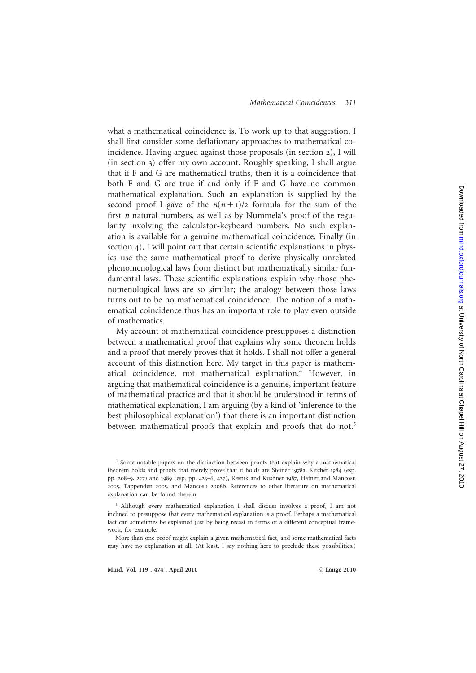#### Mathematical Coincidences 311

what a mathematical coincidence is. To work up to that suggestion, I shall first consider some deflationary approaches to mathematical coincidence. Having argued against those proposals (in section 2), I will (in section 3) offer my own account. Roughly speaking, I shall argue that if F and G are mathematical truths, then it is a coincidence that both F and G are true if and only if F and G have no common mathematical explanation. Such an explanation is supplied by the second proof I gave of the  $n(n+1)/2$  formula for the sum of the first n natural numbers, as well as by Nummela's proof of the regularity involving the calculator-keyboard numbers. No such explanation is available for a genuine mathematical coincidence. Finally (in section 4), I will point out that certain scientific explanations in physics use the same mathematical proof to derive physically unrelated phenomenological laws from distinct but mathematically similar fundamental laws. These scientific explanations explain why those phenomenological laws are so similar; the analogy between those laws turns out to be no mathematical coincidence. The notion of a mathematical coincidence thus has an important role to play even outside of mathematics.

My account of mathematical coincidence presupposes a distinction between a mathematical proof that explains why some theorem holds and a proof that merely proves that it holds. I shall not offer a general account of this distinction here. My target in this paper is mathematical coincidence, not mathematical explanation.<sup>4</sup> However, in arguing that mathematical coincidence is a genuine, important feature of mathematical practice and that it should be understood in terms of mathematical explanation, I am arguing (by a kind of 'inference to the best philosophical explanation') that there is an important distinction between mathematical proofs that explain and proofs that do not.<sup>5</sup>

<sup>4</sup> Some notable papers on the distinction between proofs that explain why a mathematical theorem holds and proofs that merely prove that it holds are Steiner 1978a, Kitcher 1984 (esp. pp. 208 – 9 , 227) and 1989 (esp. pp. 423 – 6 , 437), Resnik and Kushner 1987, Hafner and Mancosu 2005, Tappenden 2005, and Mancosu 2008b. References to other literature on mathematical explanation can be found therein.

<sup>5</sup> Although every mathematical explanation I shall discuss involves a proof, I am not inclined to presuppose that every mathematical explanation is a proof. Perhaps a mathematical fact can sometimes be explained just by being recast in terms of a different conceptual framework, for example.

More than one proof might explain a given mathematical fact, and some mathematical facts may have no explanation at all. (At least, I say nothing here to preclude these possibilities.)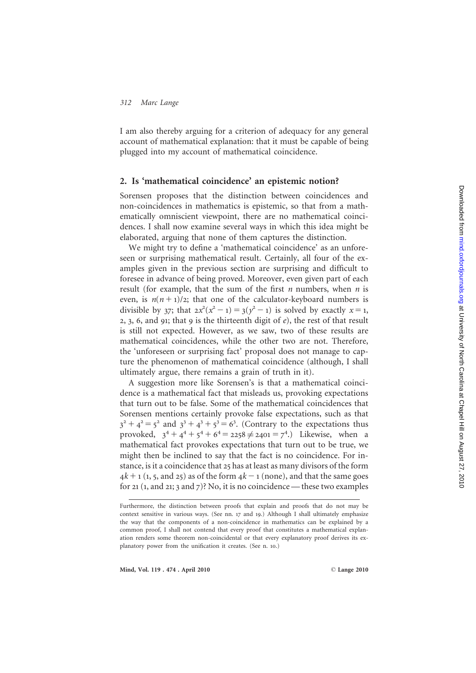I am also thereby arguing for a criterion of adequacy for any general account of mathematical explanation: that it must be capable of being plugged into my account of mathematical coincidence.

# 2. Is 'mathematical coincidence' an epistemic notion?

Sorensen proposes that the distinction between coincidences and non-coincidences in mathematics is epistemic, so that from a mathematically omniscient viewpoint, there are no mathematical coincidences. I shall now examine several ways in which this idea might be elaborated, arguing that none of them captures the distinction.

We might try to define a 'mathematical coincidence' as an unforeseen or surprising mathematical result. Certainly, all four of the examples given in the previous section are surprising and difficult to foresee in advance of being proved. Moreover, even given part of each result (for example, that the sum of the first  $n$  numbers, when  $n$  is even, is  $n(n+1)/2$ ; that one of the calculator-keyboard numbers is divisible by 37; that  $2x^2(x^2 - 1) = 3(y^2 - 1)$  is solved by exactly  $x = 1$ , 2, 3, 6, and 91; that 9 is the thirteenth digit of  $e$ ), the rest of that result is still not expected. However, as we saw, two of these results are mathematical coincidences, while the other two are not. Therefore, the 'unforeseen or surprising fact' proposal does not manage to capture the phenomenon of mathematical coincidence (although, I shall ultimately argue, there remains a grain of truth in it).

A suggestion more like Sorensen's is that a mathematical coincidence is a mathematical fact that misleads us, provoking expectations that turn out to be false. Some of the mathematical coincidences that Sorensen mentions certainly provoke false expectations, such as that  $3^2 + 4^2 = 5^2$  and  $3^3 + 4^3 + 5^3 = 6^3$ . (Contrary to the expectations thus provoked,  $3^4 + 4^4 + 5^4 + 6^4 = 2258 \neq 2401 = 7^4$ .) Likewise, when a mathematical fact provokes expectations that turn out to be true, we might then be inclined to say that the fact is no coincidence. For instance, is it a coincidence that 25 has at least as many divisors of the form  $4k + 1$  (1, 5, and 25) as of the form  $4k - 1$  (none), and that the same goes for 21 (1, and 21; 3 and 7)? No, it is no coincidence — these two examples

Furthermore, the distinction between proofs that explain and proofs that do not may be context sensitive in various ways. (See nn. 17 and 19.) Although I shall ultimately emphasize the way that the components of a non-coincidence in mathematics can be explained by a common proof, I shall not contend that every proof that constitutes a mathematical explanation renders some theorem non-coincidental or that every explanatory proof derives its explanatory power from the unification it creates. (See n. 10.)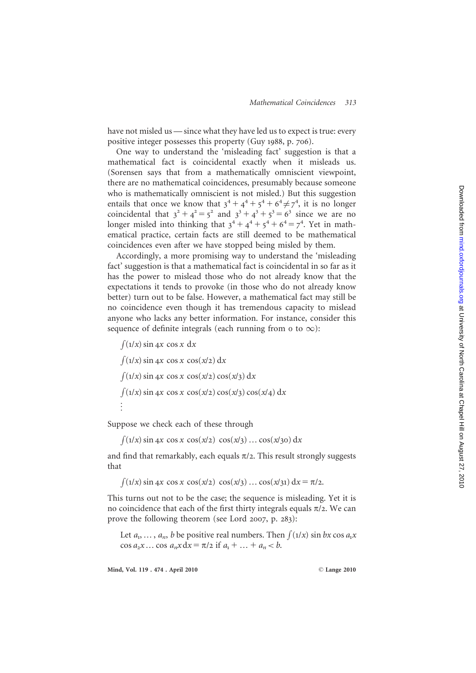have not misled us — since what they have led us to expect is true: every positive integer possesses this property (Guy 1988, p. 706).

One way to understand the 'misleading fact' suggestion is that a mathematical fact is coincidental exactly when it misleads us. (Sorensen says that from a mathematically omniscient viewpoint, there are no mathematical coincidences, presumably because someone who is mathematically omniscient is not misled.) But this suggestion entails that once we know that  $3^4 + 4^4 + 5^4 + 6^4 \neq 7^4$ , it is no longer coincidental that  $3^2 + 4^2 = 5^2$  and  $3^3 + 4^3 + 5^3 = 6^3$  since we are no longer misled into thinking that  $3^4 + 4^4 + 5^4 + 6^4 = 7^4$ . Yet in mathematical practice, certain facts are still deemed to be mathematical coincidences even after we have stopped being misled by them.

Accordingly, a more promising way to understand the 'misleading fact' suggestion is that a mathematical fact is coincidental in so far as it has the power to mislead those who do not already know that the expectations it tends to provoke (in those who do not already know better) turn out to be false. However, a mathematical fact may still be no coincidence even though it has tremendous capacity to mislead anyone who lacks any better information. For instance, consider this sequence of definite integrals (each running from o to  $\infty$ ):

 $\int (1/x) \sin 4x \cos x \, dx$  $\int (1/x) \sin 4x \cos x \cos(x/2) dx$  $\int (1/x) \sin 4x \cos x \cos(x/2) \cos(x/3) dx$  $\int (1/x) \sin 4x \cos x \cos(x/2) \cos(x/3) \cos(x/4) dx$ ...

Suppose we check each of these through

 $\int (1/x) \sin 4x \cos x \cos(x/2) \cos(x/3) \dots \cos(x/30) dx$ 

and find that remarkably, each equals  $\pi/2$ . This result strongly suggests that

 $\int (1/x) \sin 4x \cos x \cos(x/2) \cos(x/3) \dots \cos(x/3) dx = \pi/2.$ 

This turns out not to be the case; the sequence is misleading. Yet it is no coincidence that each of the first thirty integrals equals  $\pi/2$ . We can prove the following theorem (see Lord 2007, p. 283):

Let  $a_1, \ldots, a_n$ , b be positive real numbers. Then  $\int (1/x) \sin bx \cos a_1 x$ cos  $a_2x$  ... cos  $a_nx dx = \pi/2$  if  $a_1 + ... + a_n < b$ .

Mind, Vol. 119 . 474 . April 2010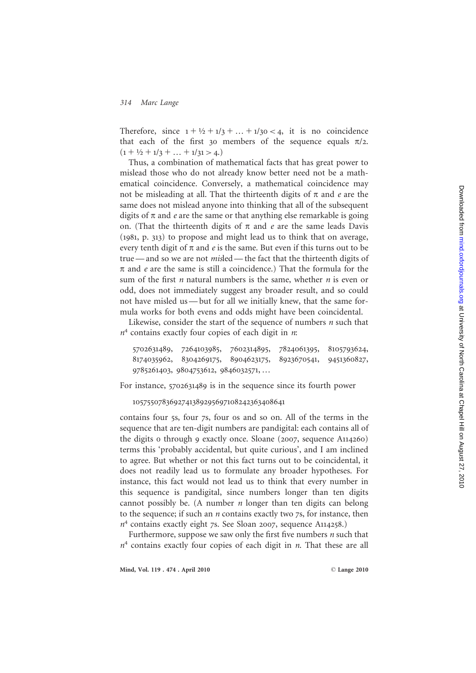Therefore, since  $1 + \frac{1}{2} + \frac{1}{3} + \dots + \frac{1}{30} < 4$ , it is no coincidence that each of the first 30 members of the sequence equals  $\pi/2$ .  $(1 + \frac{1}{2} + \frac{1}{3} + \dots + \frac{1}{31} > 4.)$ 

Thus, a combination of mathematical facts that has great power to mislead those who do not already know better need not be a mathematical coincidence. Conversely, a mathematical coincidence may not be misleading at all. That the thirteenth digits of  $\pi$  and  $e$  are the same does not mislead anyone into thinking that all of the subsequent digits of  $\pi$  and  $e$  are the same or that anything else remarkable is going on. (That the thirteenth digits of  $\pi$  and  $e$  are the same leads Davis (1981, p. 313) to propose and might lead us to think that on average, every tenth digit of  $\pi$  and  $e$  is the same. But even if this turns out to be true — and so we are not *misled* — the fact that the thirteenth digits of  $\pi$  and *e* are the same is still a coincidence.) That the formula for the sum of the first  $n$  natural numbers is the same, whether  $n$  is even or odd, does not immediately suggest any broader result, and so could not have misled us — but for all we initially knew, that the same formula works for both evens and odds might have been coincidental.

Likewise, consider the start of the sequence of numbers  $n$  such that  $n<sup>4</sup>$  contains exactly four copies of each digit in *n*:

5702631489 , 7264103985 , 7602314895 , 7824061395 , 8105793624 , 8174035962 , 8304269175 , 8904623175 , 8923670541 , 9451360827 , 9785261403 , 9804753612 , 9846032571, …

For instance, 5702631489 is in the sequence since its fourth power

#### 1057550783692741389295697108242363408641

contains four 5s, four 7s, four 0s and so on. All of the terms in the sequence that are ten-digit numbers are pandigital: each contains all of the digits 0 through 9 exactly once. Sloane (2007, sequence A114260 ) terms this 'probably accidental, but quite curious', and I am inclined to agree. But whether or not this fact turns out to be coincidental, it does not readily lead us to formulate any broader hypotheses. For instance, this fact would not lead us to think that every number in this sequence is pandigital, since numbers longer than ten digits cannot possibly be. (A number  $n$  longer than ten digits can belong to the sequence; if such an n contains exactly two 7s, for instance, then n <sup>4</sup> contains exactly eight 7s. See Sloan 2007, sequence A114258.)

Furthermore, suppose we saw only the first five numbers *n* such that  $n<sup>4</sup>$  contains exactly four copies of each digit in *n*. That these are all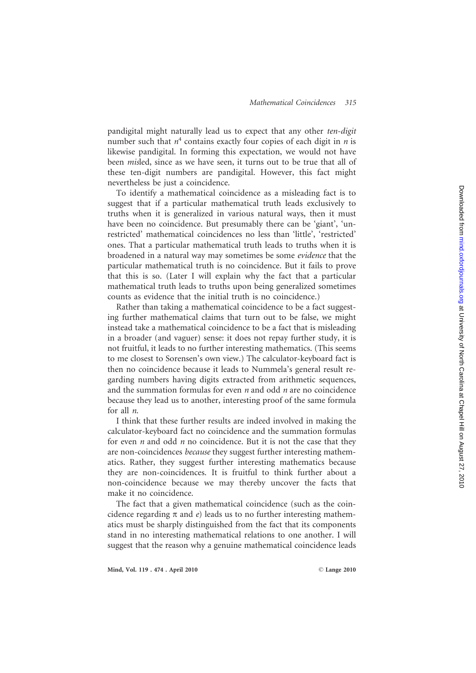pandigital might naturally lead us to expect that any other ten-digit number such that  $n^4$  contains exactly four copies of each digit in *n* is likewise pandigital. In forming this expectation, we would not have been misled, since as we have seen, it turns out to be true that all of these ten-digit numbers are pandigital. However, this fact might nevertheless be just a coincidence.

To identify a mathematical coincidence as a misleading fact is to suggest that if a particular mathematical truth leads exclusively to truths when it is generalized in various natural ways, then it must have been no coincidence. But presumably there can be 'giant', 'unrestricted' mathematical coincidences no less than 'little', 'restricted' ones. That a particular mathematical truth leads to truths when it is broadened in a natural way may sometimes be some evidence that the particular mathematical truth is no coincidence. But it fails to prove that this is so. (Later I will explain why the fact that a particular mathematical truth leads to truths upon being generalized sometimes counts as evidence that the initial truth is no coincidence.)

Rather than taking a mathematical coincidence to be a fact suggesting further mathematical claims that turn out to be false, we might instead take a mathematical coincidence to be a fact that is misleading in a broader (and vaguer) sense: it does not repay further study, it is not fruitful, it leads to no further interesting mathematics. (This seems to me closest to Sorensen's own view.) The calculator-keyboard fact is then no coincidence because it leads to Nummela's general result regarding numbers having digits extracted from arithmetic sequences, and the summation formulas for even *n* and odd *n* are no coincidence because they lead us to another, interesting proof of the same formula for all n .

I think that these further results are indeed involved in making the calculator-keyboard fact no coincidence and the summation formulas for even  $n$  and odd  $n$  no coincidence. But it is not the case that they are non-coincidences because they suggest further interesting mathematics. Rather, they suggest further interesting mathematics because they are non-coincidences. It is fruitful to think further about a non-coincidence because we may thereby uncover the facts that make it no coincidence.

The fact that a given mathematical coincidence (such as the coincidence regarding  $\pi$  and e) leads us to no further interesting mathematics must be sharply distinguished from the fact that its components stand in no interesting mathematical relations to one another. I will suggest that the reason why a genuine mathematical coincidence leads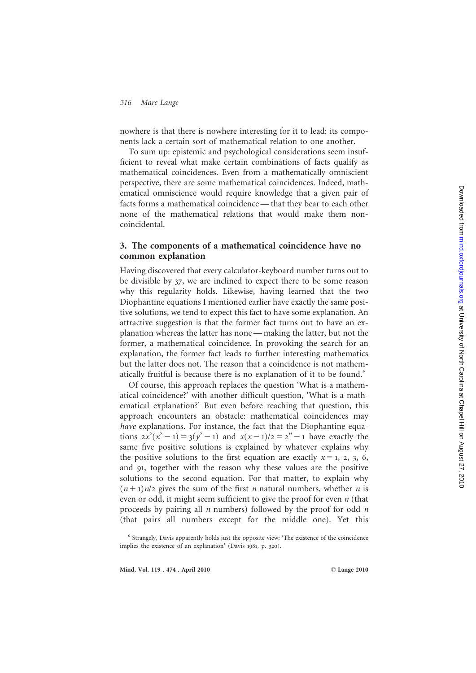nowhere is that there is nowhere interesting for it to lead: its components lack a certain sort of mathematical relation to one another.

To sum up: epistemic and psychological considerations seem insufficient to reveal what make certain combinations of facts qualify as mathematical coincidences. Even from a mathematically omniscient perspective, there are some mathematical coincidences. Indeed, mathematical omniscience would require knowledge that a given pair of facts forms a mathematical coincidence — that they bear to each other none of the mathematical relations that would make them noncoincidental.

## 3. The components of a mathematical coincidence have no common explanation

Having discovered that every calculator-keyboard number turns out to be divisible by 37, we are inclined to expect there to be some reason why this regularity holds. Likewise, having learned that the two Diophantine equations I mentioned earlier have exactly the same positive solutions, we tend to expect this fact to have some explanation. An attractive suggestion is that the former fact turns out to have an explanation whereas the latter has none — making the latter, but not the former, a mathematical coincidence. In provoking the search for an explanation, the former fact leads to further interesting mathematics but the latter does not. The reason that a coincidence is not mathematically fruitful is because there is no explanation of it to be found.<sup>6</sup>

Of course, this approach replaces the question 'What is a mathematical coincidence?' with another difficult question, 'What is a mathematical explanation?' But even before reaching that question, this approach encounters an obstacle: mathematical coincidences may have explanations. For instance, the fact that the Diophantine equations  $2x^2(x^2 - 1) = 3(y^2 - 1)$  and  $x(x - 1)/2 = 2^n - 1$  have exactly the same five positive solutions is explained by whatever explains why the positive solutions to the first equation are exactly  $x = 1, 2, 3, 6$ , and 91, together with the reason why these values are the positive solutions to the second equation. For that matter, to explain why  $(n+1)n/2$  gives the sum of the first *n* natural numbers, whether *n* is even or odd, it might seem sufficient to give the proof for even *n* (that proceeds by pairing all *n* numbers) followed by the proof for odd *n* (that pairs all numbers except for the middle one). Yet this

<sup>6</sup> Strangely, Davis apparently holds just the opposite view: 'The existence of the coincidence implies the existence of an explanation' (Davis 1981, p. 320).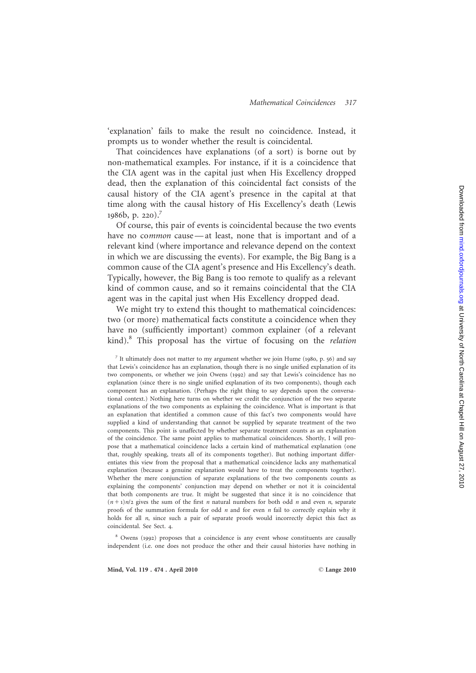'explanation' fails to make the result no coincidence. Instead, it prompts us to wonder whether the result is coincidental.

That coincidences have explanations (of a sort) is borne out by non-mathematical examples. For instance, if it is a coincidence that the CIA agent was in the capital just when His Excellency dropped dead, then the explanation of this coincidental fact consists of the causal history of the CIA agent's presence in the capital at that time along with the causal history of His Excellency's death (Lewis 1986b, p. 220). 7

Of course, this pair of events is coincidental because the two events have no common cause — at least, none that is important and of a relevant kind (where importance and relevance depend on the context in which we are discussing the events). For example, the Big Bang is a common cause of the CIA agent's presence and His Excellency's death. Typically, however, the Big Bang is too remote to qualify as a relevant kind of common cause, and so it remains coincidental that the CIA agent was in the capital just when His Excellency dropped dead.

We might try to extend this thought to mathematical coincidences: two (or more) mathematical facts constitute a coincidence when they have no (sufficiently important) common explainer (of a relevant kind). <sup>8</sup> This proposal has the virtue of focusing on the relation

<sup>8</sup> Owens (1992) proposes that a coincidence is any event whose constituents are causally independent (i.e. one does not produce the other and their causal histories have nothing in

<sup>7</sup> It ultimately does not matter to my argument whether we join Hume (1980, p. 56) and say that Lewis's coincidence has an explanation, though there is no single unified explanation of its two components, or whether we join Owens (1992) and say that Lewis's coincidence has no explanation (since there is no single unified explanation of its two components), though each component has an explanation. (Perhaps the right thing to say depends upon the conversational context.) Nothing here turns on whether we credit the conjunction of the two separate explanations of the two components as explaining the coincidence. What is important is that an explanation that identified a common cause of this fact's two components would have supplied a kind of understanding that cannot be supplied by separate treatment of the two components. This point is unaffected by whether separate treatment counts as an explanation of the coincidence. The same point applies to mathematical coincidences. Shortly, I will propose that a mathematical coincidence lacks a certain kind of mathematical explanation (one that, roughly speaking, treats all of its components together). But nothing important differentiates this view from the proposal that a mathematical coincidence lacks any mathematical explanation (because a genuine explanation would have to treat the components together). Whether the mere conjunction of separate explanations of the two components counts as explaining the components' conjunction may depend on whether or not it is coincidental that both components are true. It might be suggested that since it is no coincidence that  $(n+1)n/2$  gives the sum of the first *n* natural numbers for both odd *n* and even *n*, separate proofs of the summation formula for odd *n* and for even *n* fail to correctly explain why it holds for all *n*, since such a pair of separate proofs would incorrectly depict this fact as coincidental. See Sect. 4 .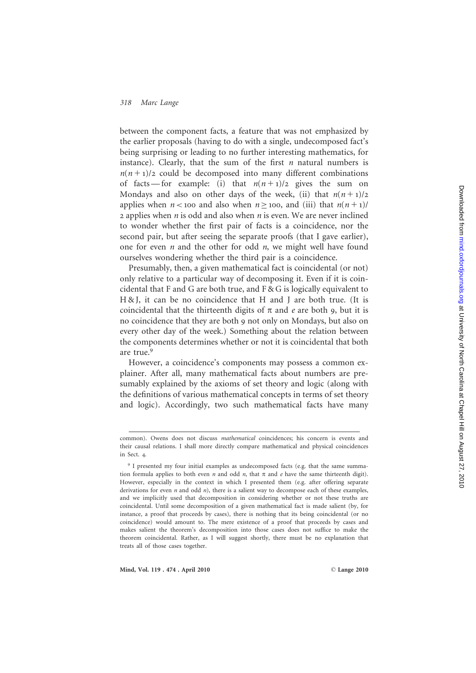between the component facts, a feature that was not emphasized by the earlier proposals (having to do with a single, undecomposed fact's being surprising or leading to no further interesting mathematics, for instance). Clearly, that the sum of the first  $n$  natural numbers is  $n(n+1)/2$  could be decomposed into many different combinations of facts – for example: (i) that  $n(n+1)/2$  gives the sum on Mondays and also on other days of the week, (ii) that  $n(n+1)/2$ applies when  $n <$  100 and also when  $n \ge 100$ , and (iii) that  $n(n + 1)$ /  $2$  applies when  $n$  is odd and also when  $n$  is even. We are never inclined to wonder whether the first pair of facts is a coincidence, nor the second pair, but after seeing the separate proofs (that I gave earlier), one for even  $n$  and the other for odd  $n$ , we might well have found ourselves wondering whether the third pair is a coincidence.

Presumably, then, a given mathematical fact is coincidental (or not) only relative to a particular way of decomposing it. Even if it is coincidental that F and G are both true, and  $F & G$  is logically equivalent to H & J, it can be no coincidence that H and J are both true. (It is coincidental that the thirteenth digits of  $\pi$  and  $e$  are both 9, but it is no coincidence that they are both 9 not only on Mondays, but also on every other day of the week.) Something about the relation between the components determines whether or not it is coincidental that both are true. 9

However, a coincidence's components may possess a common explainer. After all, many mathematical facts about numbers are presumably explained by the axioms of set theory and logic (along with the definitions of various mathematical concepts in terms of set theory and logic). Accordingly, two such mathematical facts have many

common). Owens does not discuss mathematical coincidences; his concern is events and their causal relations. I shall more directly compare mathematical and physical coincidences in Sect. 4 .

<sup>&</sup>lt;sup>9</sup> I presented my four initial examples as undecomposed facts (e.g. that the same summation formula applies to both even *n* and odd *n*, that  $\pi$  and *e* have the same thirteenth digit). However, especially in the context in which I presented them (e.g. after offering separate derivations for even  $n$  and odd  $n$ ), there is a salient way to decompose each of these examples, and we implicitly used that decomposition in considering whether or not these truths are coincidental. Until some decomposition of a given mathematical fact is made salient (by, for instance, a proof that proceeds by cases), there is nothing that its being coincidental (or no coincidence) would amount to. The mere existence of a proof that proceeds by cases and makes salient the theorem's decomposition into those cases does not suffice to make the theorem coincidental. Rather, as I will suggest shortly, there must be no explanation that treats all of those cases together.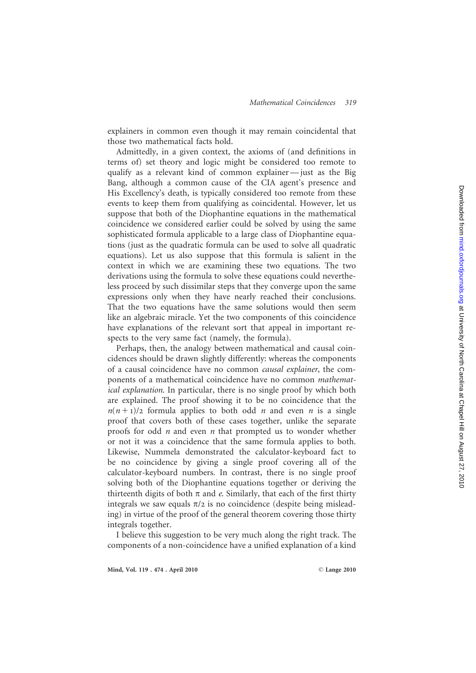explainers in common even though it may remain coincidental that those two mathematical facts hold.

Admittedly, in a given context, the axioms of (and definitions in terms of) set theory and logic might be considered too remote to qualify as a relevant kind of common explainer — just as the Big Bang, although a common cause of the CIA agent's presence and His Excellency's death, is typically considered too remote from these events to keep them from qualifying as coincidental. However, let us suppose that both of the Diophantine equations in the mathematical coincidence we considered earlier could be solved by using the same sophisticated formula applicable to a large class of Diophantine equations (just as the quadratic formula can be used to solve all quadratic equations). Let us also suppose that this formula is salient in the context in which we are examining these two equations. The two derivations using the formula to solve these equations could nevertheless proceed by such dissimilar steps that they converge upon the same expressions only when they have nearly reached their conclusions. That the two equations have the same solutions would then seem like an algebraic miracle. Yet the two components of this coincidence have explanations of the relevant sort that appeal in important respects to the very same fact (namely, the formula).

Perhaps, then, the analogy between mathematical and causal coincidences should be drawn slightly differently: whereas the components of a causal coincidence have no common causal explainer, the components of a mathematical coincidence have no common mathematical explanation. In particular, there is no single proof by which both are explained. The proof showing it to be no coincidence that the  $n(n+1)/2$  formula applies to both odd *n* and even *n* is a single proof that covers both of these cases together, unlike the separate proofs for odd *n* and even *n* that prompted us to wonder whether or not it was a coincidence that the same formula applies to both. Likewise, Nummela demonstrated the calculator-keyboard fact to be no coincidence by giving a single proof covering all of the calculator-keyboard numbers. In contrast, there is no single proof solving both of the Diophantine equations together or deriving the thirteenth digits of both  $\pi$  and e. Similarly, that each of the first thirty integrals we saw equals  $\pi/2$  is no coincidence (despite being misleading) in virtue of the proof of the general theorem covering those thirty integrals together.

I believe this suggestion to be very much along the right track. The components of a non-coincidence have a unified explanation of a kind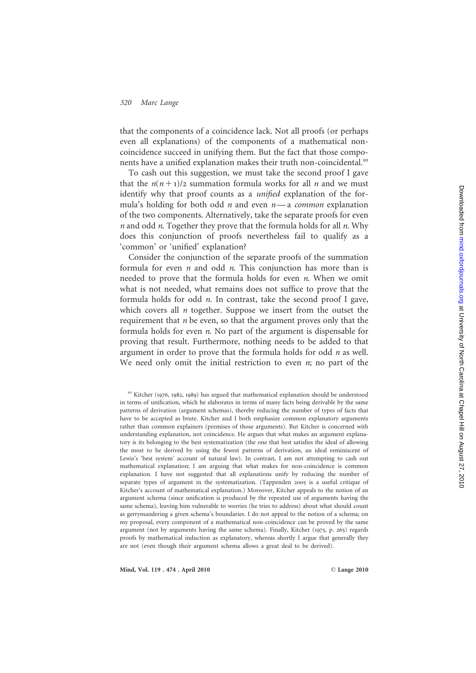that the components of a coincidence lack. Not all proofs (or perhaps even all explanations) of the components of a mathematical noncoincidence succeed in unifying them. But the fact that those components have a unified explanation makes their truth non-coincidental.<sup>10</sup>

To cash out this suggestion, we must take the second proof I gave that the  $n(n+1)/2$  summation formula works for all *n* and we must identify why that proof counts as a *unified* explanation of the formula's holding for both odd *n* and even  $n$ —a *common* explanation of the two components. Alternatively, take the separate proofs for even  $n$  and odd  $n$ . Together they prove that the formula holds for all  $n$ . Why does this conjunction of proofs nevertheless fail to qualify as a 'common' or 'unified' explanation?

Consider the conjunction of the separate proofs of the summation formula for even  $n$  and odd  $n$ . This conjunction has more than is needed to prove that the formula holds for even *n*. When we omit what is not needed, what remains does not suffice to prove that the formula holds for odd *n*. In contrast, take the second proof I gave, which covers all  $n$  together. Suppose we insert from the outset the requirement that  $n$  be even, so that the argument proves only that the formula holds for even n. No part of the argument is dispensable for proving that result. Furthermore, nothing needs to be added to that argument in order to prove that the formula holds for odd  $n$  as well. We need only omit the initial restriction to even  $n$ ; no part of the

Mind, Vol. 119 . 474 . April 2010

<sup>&</sup>lt;sup>10</sup> Kitcher (1976, 1982, 1989) has argued that mathematical explanation should be understood in terms of unification, which he elaborates in terms of many facts being derivable by the same patterns of derivation (argument schemas), thereby reducing the number of types of facts that have to be accepted as brute. Kitcher and I both emphasize common explanatory arguments rather than common explainers (premises of those arguments). But Kitcher is concerned with understanding explanation, not coincidence. He argues that what makes an argument explanatory is its belonging to the best systematization (the one that best satisfies the ideal of allowing the most to be derived by using the fewest patterns of derivation, an ideal reminiscent of Lewis's 'best system' account of natural law). In contrast, I am not attempting to cash out mathematical explanation; I am arguing that what makes for non-coincidence is common explanation. I have not suggested that all explanations unify by reducing the number of separate types of argument in the systematization. (Tappenden 2005 is a useful critique of Kitcher's account of mathematical explanation.) Moreover, Kitcher appeals to the notion of an argument schema (since unification is produced by the repeated use of arguments having the same schema), leaving him vulnerable to worries (he tries to address) about what should count as gerrymandering a given schema's boundaries. I do not appeal to the notion of a schema; on my proposal, every component of a mathematical non-coincidence can be proved by the same argument (not by arguments having the same schema). Finally, Kitcher (1975, p. 265) regards proofs by mathematical induction as explanatory, whereas shortly I argue that generally they are not (even though their argument schema allows a great deal to be derived).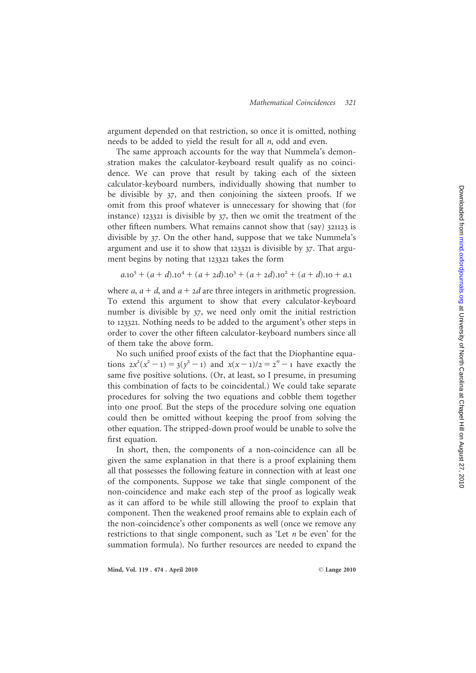argument depended on that restriction, so once it is omitted, nothing needs to be added to yield the result for all  $n$ , odd and even.

The same approach accounts for the way that Nummela's demonstration makes the calculator-keyboard result qualify as no coincidence. We can prove that result by taking each of the sixteen calculator-keyboard numbers, individually showing that number to be divisible by 37, and then conjoining the sixteen proofs. If we omit from this proof whatever is unnecessary for showing that (for instance) 123321 is divisible by 37, then we omit the treatment of the other fifteen numbers. What remains cannot show that (say) 321123 is divisible by 37. On the other hand, suppose that we take Nummela's argument and use it to show that 123321 is divisible by 37. That argument begins by noting that 123321 takes the form

$$
a \cdot 10^5 + (a+d) \cdot 10^4 + (a+2d) \cdot 10^3 + (a+2d) \cdot 10^2 + (a+d) \cdot 10 + a \cdot 1
$$

where  $a$ ,  $a + d$ , and  $a + 2d$  are three integers in arithmetic progression. To extend this argument to show that every calculator-keyboard number is divisible by 37, we need only omit the initial restriction to 123321. Nothing needs to be added to the argument's other steps in order to cover the other fifteen calculator-keyboard numbers since all of them take the above form.

No such unified proof exists of the fact that the Diophantine equations  $2x^2(x^2 - 1) = 3(y^2 - 1)$  and  $x(x - 1)/2 = 2<sup>n</sup> - 1$  have exactly the same five positive solutions. (Or, at least, so I presume, in presuming this combination of facts to be coincidental.) We could take separate procedures for solving the two equations and cobble them together into one proof. But the steps of the procedure solving one equation could then be omitted without keeping the proof from solving the other equation. The stripped-down proof would be unable to solve the first equation.

In short, then, the components of a non-coincidence can all be given the same explanation in that there is a proof explaining them all that possesses the following feature in connection with at least one of the components. Suppose we take that single component of the non-coincidence and make each step of the proof as logically weak as it can afford to be while still allowing the proof to explain that component. Then the weakened proof remains able to explain each of the non-coincidence's other components as well (once we remove any restrictions to that single component, such as 'Let *n* be even' for the summation formula). No further resources are needed to expand the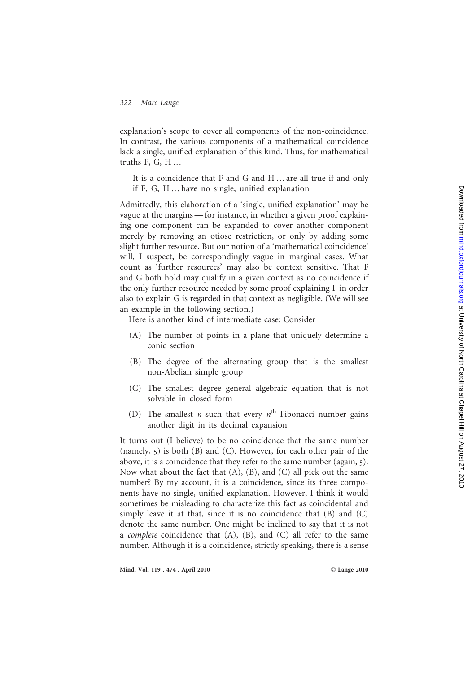explanation's scope to cover all components of the non-coincidence. In contrast, the various components of a mathematical coincidence lack a single, unified explanation of this kind. Thus, for mathematical truths F, G, H …

It is a coincidence that F and G and H … are all true if and only if F, G, H … have no single, unified explanation

Admittedly, this elaboration of a 'single, unified explanation' may be vague at the margins — for instance, in whether a given proof explaining one component can be expanded to cover another component merely by removing an otiose restriction, or only by adding some slight further resource. But our notion of a 'mathematical coincidence' will, I suspect, be correspondingly vague in marginal cases. What count as 'further resources' may also be context sensitive. That F and G both hold may qualify in a given context as no coincidence if the only further resource needed by some proof explaining F in order also to explain G is regarded in that context as negligible. (We will see an example in the following section.)

Here is another kind of intermediate case: Consider

- (A) The number of points in a plane that uniquely determine a conic section
- (B) The degree of the alternating group that is the smallest non-Abelian simple group
- (C) The smallest degree general algebraic equation that is not solvable in closed form
- (D) The smallest *n* such that every  $n^{\text{th}}$  Fibonacci number gains another digit in its decimal expansion

It turns out (I believe) to be no coincidence that the same number (namely, 5) is both (B) and (C). However, for each other pair of the above, it is a coincidence that they refer to the same number (again, 5). Now what about the fact that  $(A)$ ,  $(B)$ , and  $(C)$  all pick out the same number? By my account, it is a coincidence, since its three components have no single, unified explanation. However, I think it would sometimes be misleading to characterize this fact as coincidental and simply leave it at that, since it is no coincidence that (B) and (C) denote the same number. One might be inclined to say that it is not a *complete* coincidence that  $(A)$ ,  $(B)$ , and  $(C)$  all refer to the same number. Although it is a coincidence, strictly speaking, there is a sense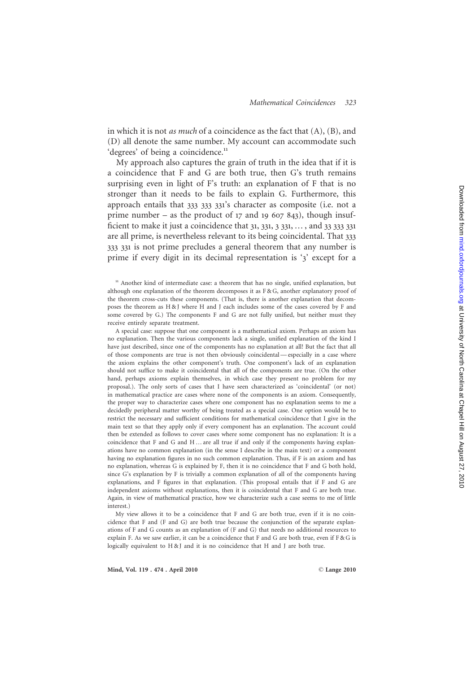in which it is not *as much* of a coincidence as the fact that  $(A)$ ,  $(B)$ , and (D) all denote the same number. My account can accommodate such 'degrees' of being a coincidence.<sup>11</sup>

My approach also captures the grain of truth in the idea that if it is a coincidence that F and G are both true, then G's truth remains surprising even in light of F's truth: an explanation of F that is no stronger than it needs to be fails to explain G. Furthermore, this approach entails that 333 333 331's character as composite (i.e. not a prime number – as the product of  $17$  and  $19$  607 843), though insufficient to make it just a coincidence that  $31, 331, 331, \ldots$ , and  $33, 333, 331$ are all prime, is nevertheless relevant to its being coincidental. That 333 333 331 is not prime precludes a general theorem that any number is prime if every digit in its decimal representation is ' 3' except for a

<sup>11</sup> Another kind of intermediate case: a theorem that has no single, unified explanation, but although one explanation of the theorem decomposes it as  $F & G$ , another explanatory proof of the theorem cross-cuts these components. (That is, there is another explanation that decomposes the theorem as H & J where H and J each includes some of the cases covered by F and some covered by G.) The components F and G are not fully unified, but neither must they receive entirely separate treatment.

A special case: suppose that one component is a mathematical axiom. Perhaps an axiom has no explanation. Then the various components lack a single, unified explanation of the kind I have just described, since one of the components has no explanation at all! But the fact that all of those components are true is not then obviously coincidental — especially in a case where the axiom explains the other component's truth. One component's lack of an explanation should not suffice to make it coincidental that all of the components are true. (On the other hand, perhaps axioms explain themselves, in which case they present no problem for my proposal.). The only sorts of cases that I have seen characterized as 'coincidental' (or not) in mathematical practice are cases where none of the components is an axiom. Consequently, the proper way to characterize cases where one component has no explanation seems to me a decidedly peripheral matter worthy of being treated as a special case. One option would be to restrict the necessary and sufficient conditions for mathematical coincidence that I give in the main text so that they apply only if every component has an explanation. The account could then be extended as follows to cover cases where some component has no explanation: It is a coincidence that F and G and H … are all true if and only if the components having explanations have no common explanation (in the sense I describe in the main text) or a component having no explanation figures in no such common explanation. Thus, if F is an axiom and has no explanation, whereas G is explained by F, then it is no coincidence that F and G both hold, since G's explanation by F is trivially a common explanation of all of the components having explanations, and F figures in that explanation. (This proposal entails that if F and G are independent axioms without explanations, then it is coincidental that F and G are both true. Again, in view of mathematical practice, how we characterize such a case seems to me of little interest.)

My view allows it to be a coincidence that F and G are both true, even if it is no coincidence that F and (F and G) are both true because the conjunction of the separate explanations of F and G counts as an explanation of (F and G) that needs no additional resources to explain F. As we saw earlier, it can be a coincidence that F and G are both true, even if F & G is logically equivalent to H & J and it is no coincidence that H and J are both true.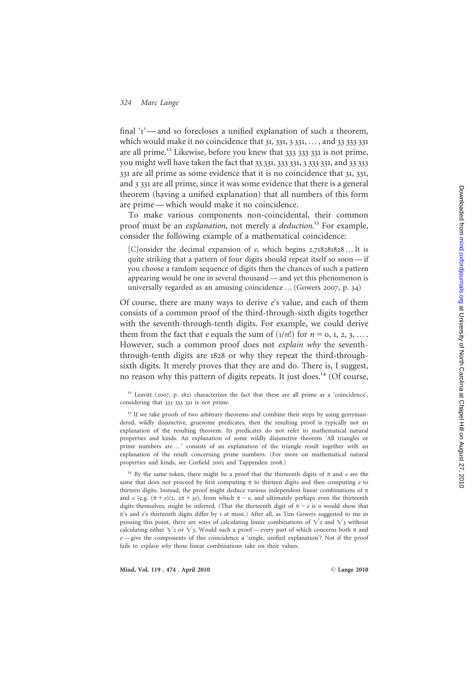final '1'-and so forecloses a unified explanation of such a theorem, which would make it no coincidence that 31, 331, 331, ..., and 33 333 331 are all prime.<sup>12</sup> Likewise, before you knew that  $333\,333\,331$  is not prime, you might well have taken the fact that 33 331, 333 331, 3 333 331, and 33 333 331 are all prime as some evidence that it is no coincidence that 31 , 331 , and 3 331 are all prime, since it was some evidence that there is a general theorem (having a unified explanation) that all numbers of this form are prime — which would make it no coincidence.

To make various components non-coincidental, their common proof must be an explanation, not merely a *deduction*.<sup>13</sup> For example, consider the following example of a mathematical coincidence:

[C]onsider the decimal expansion of e, which begins 2.718281828 ... It is quite striking that a pattern of four digits should repeat itself so soon — if you choose a random sequence of digits then the chances of such a pattern appearing would be one in several thousand — and yet this phenomenon is universally regarded as an amusing coincidence … (Gowers 2007, p. 34 )

Of course, there are many ways to derive  $e$ 's value, and each of them consists of a common proof of the third-through-sixth digits together with the seventh-through-tenth digits. For example, we could derive them from the fact that *e* equals the sum of  $(1/n!)$  for  $n = 0, 1, 2, 3, ...$ However, such a common proof does not explain why the sevenththrough-tenth digits are 1828 or why they repeat the third-throughsixth digits. It merely proves that they are and do. There is, I suggest, no reason why this pattern of digits repeats. It just does.<sup>14</sup> (Of course,

 $12$  Leavitt (2007, p. 182) characterizes the fact that these are all prime as a 'coincidence', considering that 333 333 331 is not prime.

<sup>13</sup> If we take proofs of two arbitrary theorems and combine their steps by using gerrymandered, wildly disjunctive, gruesome predicates, then the resulting proof is typically not an explanation of the resulting theorem. Its predicates do not refer to mathematical natural properties and kinds. An explanation of some wildly disjunctive theorem 'All triangles or prime numbers are … ' consists of an explanation of the triangle result together with an explanation of the result concerning prime numbers. (For more on mathematical natural properties and kinds, see Corfield 2005 and Tappenden 2008.)

<sup>14</sup> By the same token, there might be a proof that the thirteenth digits of  $\pi$  and  $e$  are the same that does not proceed by first computing  $\pi$  to thirteen digits and then computing  $e$  to thirteen digits. Instead, the proof might deduce various independent linear combinations of  $\pi$ and e (e.g.  $(\pi + e)/2$ ,  $2\pi + 3e$ ), from which  $\pi - e$ , and ultimately perhaps even the thirteenth digits themselves, might be inferred. (That the thirteenth digit of  $\pi - e$  is o would show that p's and e's thirteenth digits differ by 1 at most.) After all, as Tim Gowers suggested to me in pressing this point, there are ways of calculating linear combinations of  $\sqrt{2}$  and  $\sqrt{3}$  without calculating either  $\sqrt{2}$  or  $\sqrt{3}$ . Would such a proof—every part of which concerns both  $\pi$  and  $e$  = give the components of this coincidence a 'single, unified explanation'? Not if the proof fails to explain why those linear combinations take on their values.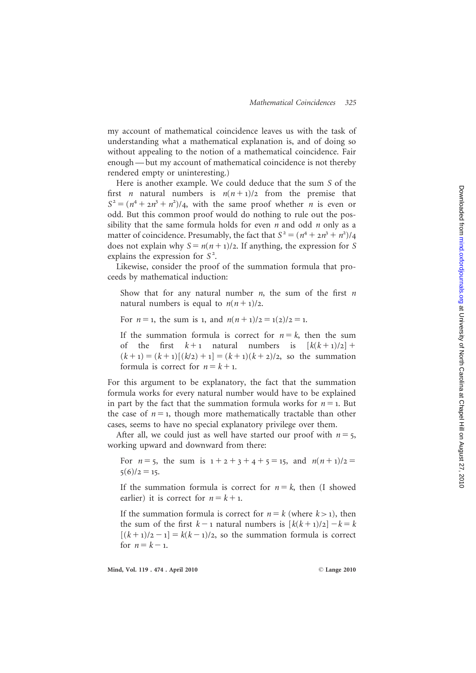my account of mathematical coincidence leaves us with the task of understanding what a mathematical explanation is, and of doing so without appealing to the notion of a mathematical coincidence. Fair enough — but my account of mathematical coincidence is not thereby rendered empty or uninteresting.)

Here is another example. We could deduce that the sum S of the first *n* natural numbers is  $n(n+1)/2$  from the premise that  $S^2 = (n^4 + 2n^3 + n^2)/4$ , with the same proof whether *n* is even or odd. But this common proof would do nothing to rule out the possibility that the same formula holds for even  $n$  and odd  $n$  only as a matter of coincidence. Presumably, the fact that  $S^2 = (n^4 + 2n^3 + n^2)/4$ does not explain why  $S = n(n + 1)/2$ . If anything, the expression for S explains the expression for  $S^2$ .

Likewise, consider the proof of the summation formula that proceeds by mathematical induction:

Show that for any natural number  $n$ , the sum of the first  $n$ natural numbers is equal to  $n(n+1)/2$ .

For  $n = 1$ , the sum is 1, and  $n(n + 1)/2 = 1(2)/2 = 1$ .

If the summation formula is correct for  $n = k$ , then the sum of the first  $k+1$  natural numbers is  $[k(k+1)/2]$  +  $(k+1) = (k+1)[(k/2) + 1] = (k+1)(k+2)/2$ , so the summation formula is correct for  $n = k + 1$ .

For this argument to be explanatory, the fact that the summation formula works for every natural number would have to be explained in part by the fact that the summation formula works for  $n = 1$ . But the case of  $n = 1$ , though more mathematically tractable than other cases, seems to have no special explanatory privilege over them.

After all, we could just as well have started our proof with  $n = 5$ , working upward and downward from there:

For  $n = 5$ , the sum is  $1 + 2 + 3 + 4 + 5 = 15$ , and  $n(n + 1)/2 =$  $5(6)/2 = 15$ .

If the summation formula is correct for  $n = k$ , then (I showed earlier) it is correct for  $n = k + 1$ .

If the summation formula is correct for  $n = k$  (where  $k > 1$ ), then the sum of the first  $k-1$  natural numbers is  $[k(k+1)/2] - k = k$  $[(k+1)/2 - 1] = k(k-1)/2$ , so the summation formula is correct for  $n = k - 1$ .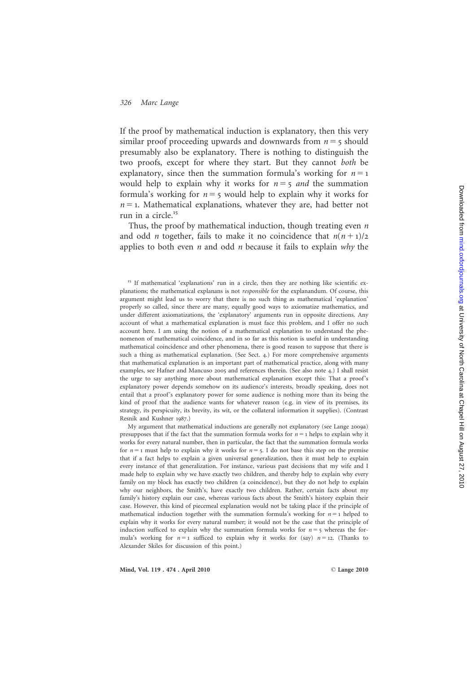If the proof by mathematical induction is explanatory, then this very similar proof proceeding upwards and downwards from  $n = 5$  should presumably also be explanatory. There is nothing to distinguish the two proofs, except for where they start. But they cannot both be explanatory, since then the summation formula's working for  $n = 1$ would help to explain why it works for  $n = 5$  and the summation formula's working for  $n = 5$  would help to explain why it works for  $n = 1$ . Mathematical explanations, whatever they are, had better not run in a circle.<sup>15</sup>

Thus, the proof by mathematical induction, though treating even *n* and odd *n* together, fails to make it no coincidence that  $n(n+1)/2$ applies to both even  $n$  and odd  $n$  because it fails to explain why the

My argument that mathematical inductions are generally not explanatory (see Lange 2009a) presupposes that if the fact that the summation formula works for  $n = 1$  helps to explain why it works for every natural number, then in particular, the fact that the summation formula works for  $n = 1$  must help to explain why it works for  $n = 5$ . I do not base this step on the premise that if a fact helps to explain a given universal generalization, then it must help to explain every instance of that generalization. For instance, various past decisions that my wife and I made help to explain why we have exactly two children, and thereby help to explain why every family on my block has exactly two children (a coincidence), but they do not help to explain why our neighbors, the Smith's, have exactly two children. Rather, certain facts about my family's history explain our case, whereas various facts about the Smith's history explain their case. However, this kind of piecemeal explanation would not be taking place if the principle of mathematical induction together with the summation formula's working for  $n = 1$  helped to explain why it works for every natural number; it would not be the case that the principle of induction sufficed to explain why the summation formula works for  $n = 5$  whereas the formula's working for  $n = 1$  sufficed to explain why it works for (say)  $n = 12$ . (Thanks to Alexander Skiles for discussion of this point.)

<sup>&</sup>lt;sup>15</sup> If mathematical 'explanations' run in a circle, then they are nothing like scientific explanations; the mathematical explanans is not responsible for the explanandum. Of course, this argument might lead us to worry that there is no such thing as mathematical 'explanation' properly so called, since there are many, equally good ways to axiomatize mathematics, and under different axiomatizations, the 'explanatory' arguments run in opposite directions. Any account of what a mathematical explanation is must face this problem, and I offer no such account here. I am using the notion of a mathematical explanation to understand the phenomenon of mathematical coincidence, and in so far as this notion is useful in understanding mathematical coincidence and other phenomena, there is good reason to suppose that there is such a thing as mathematical explanation. (See Sect. 4.) For more comprehensive arguments that mathematical explanation is an important part of mathematical practice, along with many examples, see Hafner and Mancuso 2005 and references therein. (See also note 4.) I shall resist the urge to say anything more about mathematical explanation except this: That a proof 's explanatory power depends somehow on its audience's interests, broadly speaking, does not entail that a proof's explanatory power for some audience is nothing more than its being the kind of proof that the audience wants for whatever reason (e.g. in view of its premises, its strategy, its perspicuity, its brevity, its wit, or the collateral information it supplies). (Contrast Resnik and Kushner 1987.)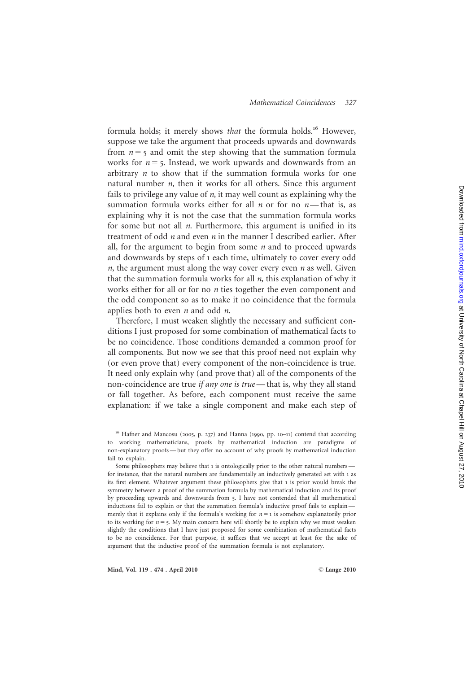#### Mathematical Coincidences 327

formula holds; it merely shows that the formula holds.<sup>16</sup> However, suppose we take the argument that proceeds upwards and downwards from  $n = 5$  and omit the step showing that the summation formula works for  $n = 5$ . Instead, we work upwards and downwards from an arbitrary n to show that if the summation formula works for one natural number *n*, then it works for all others. Since this argument fails to privilege any value of  $n$ , it may well count as explaining why the summation formula works either for all  $n$  or for no  $n$ —that is, as explaining why it is not the case that the summation formula works for some but not all n. Furthermore, this argument is unified in its treatment of odd *n* and even *n* in the manner I described earlier. After all, for the argument to begin from some  $n$  and to proceed upwards and downwards by steps of 1 each time, ultimately to cover every odd  $n$ , the argument must along the way cover every even  $n$  as well. Given that the summation formula works for all *n*, this explanation of why it works either for all or for no  $n$  ties together the even component and the odd component so as to make it no coincidence that the formula applies both to even *n* and odd *n*.

Therefore, I must weaken slightly the necessary and sufficient conditions I just proposed for some combination of mathematical facts to be no coincidence. Those conditions demanded a common proof for all components. But now we see that this proof need not explain why (or even prove that) every component of the non-coincidence is true. It need only explain why (and prove that) all of the components of the non-coincidence are true *if any one is true* — that is, why they all stand or fall together. As before, each component must receive the same explanation: if we take a single component and make each step of

<sup>&</sup>lt;sup>16</sup> Hafner and Mancosu (2005, p. 237) and Hanna (1990, pp. 10-11) contend that according to working mathematicians, proofs by mathematical induction are paradigms of non-explanatory proofs — but they offer no account of why proofs by mathematical induction fail to explain.

Some philosophers may believe that 1 is ontologically prior to the other natural numbersfor instance, that the natural numbers are fundamentally an inductively generated set with 1 as its first element. Whatever argument these philosophers give that 1 is prior would break the symmetry between a proof of the summation formula by mathematical induction and its proof by proceeding upwards and downwards from 5. I have not contended that all mathematical inductions fail to explain or that the summation formula's inductive proof fails to explain merely that it explains only if the formula's working for  $n = 1$  is somehow explanatorily prior to its working for  $n = 5$ . My main concern here will shortly be to explain why we must weaken slightly the conditions that I have just proposed for some combination of mathematical facts to be no coincidence. For that purpose, it suffices that we accept at least for the sake of argument that the inductive proof of the summation formula is not explanatory.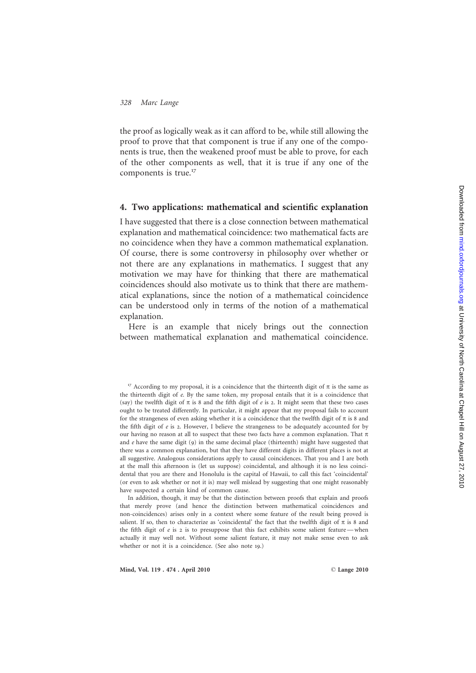the proof as logically weak as it can afford to be, while still allowing the proof to prove that that component is true if any one of the components is true, then the weakened proof must be able to prove, for each of the other components as well, that it is true if any one of the components is true.<sup>17</sup>

#### 4. Two applications: mathematical and scientific explanation

I have suggested that there is a close connection between mathematical explanation and mathematical coincidence: two mathematical facts are no coincidence when they have a common mathematical explanation. Of course, there is some controversy in philosophy over whether or not there are any explanations in mathematics. I suggest that any motivation we may have for thinking that there are mathematical coincidences should also motivate us to think that there are mathematical explanations, since the notion of a mathematical coincidence can be understood only in terms of the notion of a mathematical explanation.

Here is an example that nicely brings out the connection between mathematical explanation and mathematical coincidence.

In addition, though, it may be that the distinction between proofs that explain and proofs that merely prove (and hence the distinction between mathematical coincidences and non-coincidences) arises only in a context where some feature of the result being proved is salient. If so, then to characterize as 'coincidental' the fact that the twelfth digit of  $\pi$  is 8 and the fifth digit of e is 2 is to presuppose that this fact exhibits some salient feature-when actually it may well not. Without some salient feature, it may not make sense even to ask whether or not it is a coincidence. (See also note 19.)

<sup>&</sup>lt;sup>17</sup> According to my proposal, it is a coincidence that the thirteenth digit of  $\pi$  is the same as the thirteenth digit of e. By the same token, my proposal entails that it is a coincidence that (say) the twelfth digit of  $\pi$  is 8 and the fifth digit of e is 2. It might seem that these two cases ought to be treated differently. In particular, it might appear that my proposal fails to account for the strangeness of even asking whether it is a coincidence that the twelfth digit of  $\pi$  is 8 and the fifth digit of  $e$  is 2. However, I believe the strangeness to be adequately accounted for by our having no reason at all to suspect that these two facts have a common explanation. That  $\pi$ and e have the same digit (9) in the same decimal place (thirteenth) might have suggested that there was a common explanation, but that they have different digits in different places is not at all suggestive. Analogous considerations apply to causal coincidences. That you and I are both at the mall this afternoon is (let us suppose) coincidental, and although it is no less coincidental that you are there and Honolulu is the capital of Hawaii, to call this fact 'coincidental' (or even to ask whether or not it is) may well mislead by suggesting that one might reasonably have suspected a certain kind of common cause.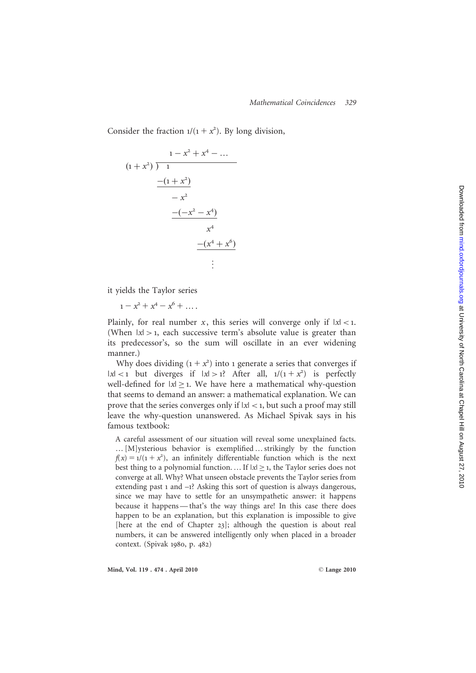Consider the fraction  $1/(1 + x^2)$ . By long division,

$$
\begin{array}{r}\n1 - x^2 + x^4 - \dots \\
(1 + x^2) \overline{\smash)1} \\
\underline{-(1 + x^2)} \\
-x^2 \\
\underline{-(-x^2 - x^4)} \\
x^4 \\
\underline{-(x^4 + x^6)} \\
\vdots\n\end{array}
$$

it yields the Taylor series

 $1 - x^2 + x^4 - x^6 + \dots$ 

Plainly, for real number  $x$ , this series will converge only if  $|x| < 1$ . (When  $|x| > 1$ , each successive term's absolute value is greater than its predecessor's, so the sum will oscillate in an ever widening manner.)

Why does dividing  $(1 + x^2)$  into 1 generate a series that converges if  $|x| < 1$  but diverges if  $|x| > 1$ ? After all,  $1/(1 + x^2)$  is perfectly well-defined for  $|x| \geq 1$ . We have here a mathematical why-question that seems to demand an answer: a mathematical explanation. We can prove that the series converges only if  $|x| < 1$ , but such a proof may still leave the why-question unanswered. As Michael Spivak says in his famous textbook:

A careful assessment of our situation will reveal some unexplained facts. … [M]ysterious behavior is exemplified … strikingly by the function  $f(x) = 1/(1 + x^2)$ , an infinitely differentiable function which is the next best thing to a polynomial function. ... If  $|x| \geq 1$ , the Taylor series does not converge at all. Why? What unseen obstacle prevents the Taylor series from extending past 1 and – 1? Asking this sort of question is always dangerous, since we may have to settle for an unsympathetic answer: it happens because it happens — that's the way things are! In this case there does happen to be an explanation, but this explanation is impossible to give [here at the end of Chapter 23]; although the question is about real numbers, it can be answered intelligently only when placed in a broader context. (Spivak 1980, p. 482 )

Mind, Vol. 119 . 474 . April 2010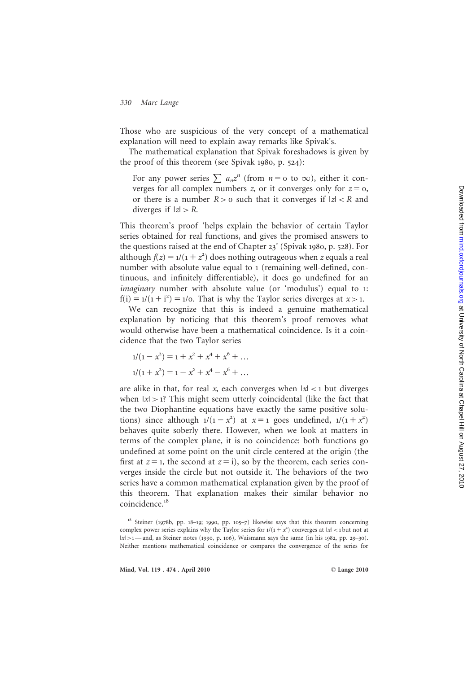Those who are suspicious of the very concept of a mathematical explanation will need to explain away remarks like Spivak's.

The mathematical explanation that Spivak foreshadows is given by the proof of this theorem (see Spivak 1980, p. 524):

For any power series  $\sum a_n z^n$  (from  $n = o$  to  $\infty$ ), either it converges for all complex numbers z, or it converges only for  $z = 0$ , or there is a number  $R > 0$  such that it converges if  $|z| < R$  and diverges if  $|z| > R$ .

This theorem's proof 'helps explain the behavior of certain Taylor series obtained for real functions, and gives the promised answers to the questions raised at the end of Chapter 23' (Spivak 1980, p. 528). For although  $f(z) = 1/(1 + z^2)$  does nothing outrageous when z equals a real number with absolute value equal to 1 (remaining well-defined, continuous, and infinitely differentiable), it does go undefined for an imaginary number with absolute value (or 'modulus') equal to 1:  $f(i) = 1/(1 + i^2) = 1/0$ . That is why the Taylor series diverges at  $x > 1$ .

We can recognize that this is indeed a genuine mathematical explanation by noticing that this theorem's proof removes what would otherwise have been a mathematical coincidence. Is it a coincidence that the two Taylor series

$$
1/(1 - x2) = 1 + x2 + x4 + x6 + ...
$$
  

$$
1/(1 + x2) = 1 - x2 + x4 - x6 + ...
$$

are alike in that, for real  $x$ , each converges when  $|x| < 1$  but diverges when  $|x| > 1$ ? This might seem utterly coincidental (like the fact that the two Diophantine equations have exactly the same positive solutions) since although  $1/(1-x^2)$  at  $x=1$  goes undefined,  $1/(1+x^2)$ behaves quite soberly there. However, when we look at matters in terms of the complex plane, it is no coincidence: both functions go undefined at some point on the unit circle centered at the origin (the first at  $z = 1$ , the second at  $z = i$ ), so by the theorem, each series converges inside the circle but not outside it. The behaviors of the two series have a common mathematical explanation given by the proof of this theorem. That explanation makes their similar behavior no coincidence.<sup>18</sup>

<sup>&</sup>lt;sup>18</sup> Steiner (1978b, pp. 18-19; 1990, pp. 105-7) likewise says that this theorem concerning complex power series explains why the Taylor series for  $1/(1 + x^2)$  converges at  $|x| < 1$  but not at |x| >1 - and, as Steiner notes (1990, p. 106), Waismann says the same (in his 1982, pp. 29-30). Neither mentions mathematical coincidence or compares the convergence of the series for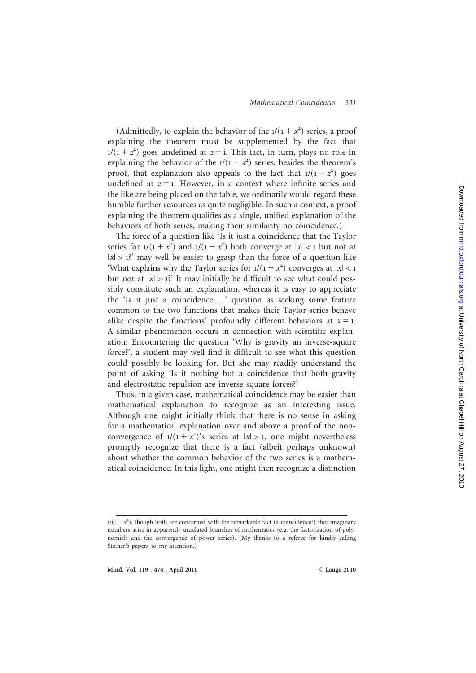#### Mathematical Coincidences 331

(Admittedly, to explain the behavior of the  $1/(1 + x^2)$  series, a proof explaining the theorem must be supplemented by the fact that  $1/(1 + z^2)$  goes undefined at  $z = i$ . This fact, in turn, plays no role in explaining the behavior of the  $1/(1-x^2)$  series; besides the theorem's proof, that explanation also appeals to the fact that  $1/(1-z^2)$  goes undefined at  $z = 1$ . However, in a context where infinite series and the like are being placed on the table, we ordinarily would regard these humble further resources as quite negligible. In such a context, a proof explaining the theorem qualifies as a single, unified explanation of the behaviors of both series, making their similarity no coincidence.)

The force of a question like 'Is it just a coincidence that the Taylor series for  $1/(1 + x^2)$  and  $1/(1 - x^2)$  both converge at  $|x| < 1$  but not at  $|x| > 1$ ?' may well be easier to grasp than the force of a question like 'What explains why the Taylor series for  $1/(1 + x^2)$  converges at  $|x| < 1$ but not at  $|x| > 1$ ? It may initially be difficult to see what could possibly constitute such an explanation, whereas it is easy to appreciate the 'Is it just a coincidence … ' question as seeking some feature common to the two functions that makes their Taylor series behave alike despite the functions' profoundly different behaviors at  $x = 1$ . A similar phenomenon occurs in connection with scientific explanation: Encountering the question 'Why is gravity an inverse-square force?', a student may well find it difficult to see what this question could possibly be looking for. But she may readily understand the point of asking 'Is it nothing but a coincidence that both gravity and electrostatic repulsion are inverse-square forces?'

Thus, in a given case, mathematical coincidence may be easier than mathematical explanation to recognize as an interesting issue. Although one might initially think that there is no sense in asking for a mathematical explanation over and above a proof of the nonconvergence of  $1/(1 + x^2)$ 's series at  $|x| > 1$ , one might nevertheless promptly recognize that there is a fact (albeit perhaps unknown) about whether the common behavior of the two series is a mathematical coincidence. In this light, one might then recognize a distinction

 $1/(1 - x^2)$ , though both are concerned with the remarkable fact (a coincidence?) that imaginary numbers arise in apparently unrelated branches of mathematics (e.g. the factorization of polynomials and the convergence of power series). (My thanks to a referee for kindly calling Steiner's papers to my attention.)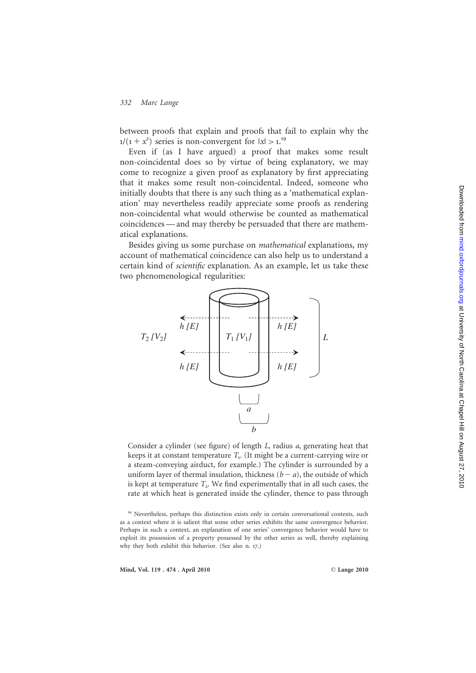between proofs that explain and proofs that fail to explain why the ) series is non-convergent for  $|x| > 1$ .<sup>19</sup>

Even if (as I have argued) a proof that makes some result non-coincidental does so by virtue of being explanatory, we may come to recognize a given proof as explanatory by first appreciating that it makes some result non-coincidental. Indeed, someone who initially doubts that there is any such thing as a 'mathematical explanation' may nevertheless readily appreciate some proofs as rendering non-coincidental what would otherwise be counted as mathematical coincidences — and may thereby be persuaded that there are mathematical explanations.

Besides giving us some purchase on mathematical explanations, my account of mathematical coincidence can also help us to understand a certain kind of scientific explanation. As an example, let us take these two phenomenological regularities:



Consider a cylinder (see figure) of length L, radius a, generating heat that keeps it at constant temperature  $T_{1}$ . (It might be a current-carrying wire or a steam-conveying airduct, for example.) The cylinder is surrounded by a uniform layer of thermal insulation, thickness  $(b - a)$ , the outside of which is kept at temperature  $T<sub>2</sub>$ . We find experimentally that in all such cases, the rate at which heat is generated inside the cylinder, thence to pass through

Mind, Vol. 119 . 474 . April 2010

<sup>&</sup>lt;sup>19</sup> Nevertheless, perhaps this distinction exists only in certain conversational contexts, such as a context where it is salient that some other series exhibits the same convergence behavior. Perhaps in such a context, an explanation of one series' convergence behavior would have to exploit its possession of a property possessed by the other series as well, thereby explaining why they both exhibit this behavior. (See also n. 17.)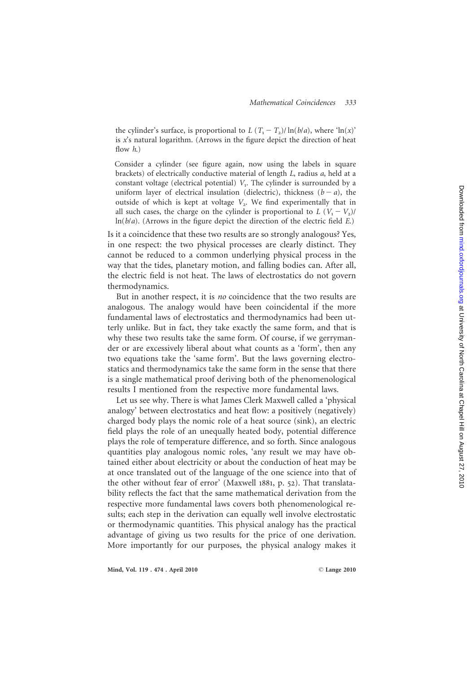the cylinder's surface, is proportional to  $L (T_1 - T_2)/\ln(b/a)$ , where 'ln(x)' is x's natural logarithm. (Arrows in the figure depict the direction of heat flow  $h$ .)

Consider a cylinder (see figure again, now using the labels in square brackets) of electrically conductive material of length L, radius a, held at a constant voltage (electrical potential)  $V_1$ . The cylinder is surrounded by a uniform layer of electrical insulation (dielectric), thickness  $(b - a)$ , the outside of which is kept at voltage  $V_2$ . We find experimentally that in all such cases, the charge on the cylinder is proportional to  $L (V_1 - V_2)$ /  $ln(b/a)$ . (Arrows in the figure depict the direction of the electric field  $E$ .)

Is it a coincidence that these two results are so strongly analogous? Yes, in one respect: the two physical processes are clearly distinct. They cannot be reduced to a common underlying physical process in the way that the tides, planetary motion, and falling bodies can. After all, the electric field is not heat. The laws of electrostatics do not govern thermodynamics.

But in another respect, it is no coincidence that the two results are analogous. The analogy would have been coincidental if the more fundamental laws of electrostatics and thermodynamics had been utterly unlike. But in fact, they take exactly the same form, and that is why these two results take the same form. Of course, if we gerrymander or are excessively liberal about what counts as a 'form', then any two equations take the 'same form'. But the laws governing electrostatics and thermodynamics take the same form in the sense that there is a single mathematical proof deriving both of the phenomenological results I mentioned from the respective more fundamental laws.

Let us see why. There is what James Clerk Maxwell called a 'physical analogy' between electrostatics and heat flow: a positively (negatively) charged body plays the nomic role of a heat source (sink), an electric field plays the role of an unequally heated body, potential difference plays the role of temperature difference, and so forth. Since analogous quantities play analogous nomic roles, 'any result we may have obtained either about electricity or about the conduction of heat may be at once translated out of the language of the one science into that of the other without fear of error' (Maxwell 1881, p. 52). That translatability reflects the fact that the same mathematical derivation from the respective more fundamental laws covers both phenomenological results; each step in the derivation can equally well involve electrostatic or thermodynamic quantities. This physical analogy has the practical advantage of giving us two results for the price of one derivation. More importantly for our purposes, the physical analogy makes it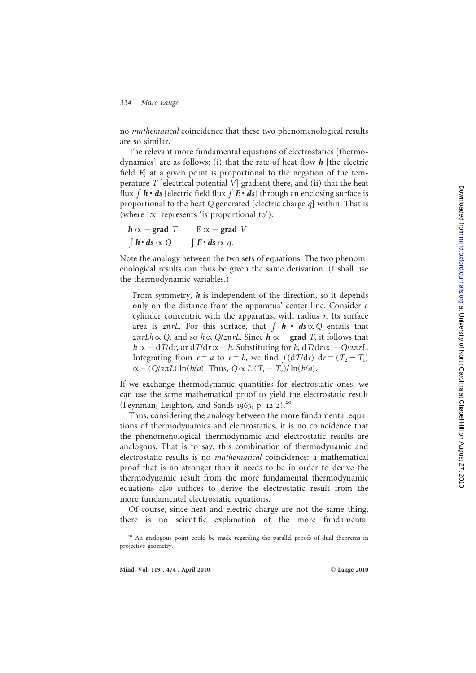no mathematical coincidence that these two phenomenological results are so similar.

The relevant more fundamental equations of electrostatics [thermodynamics] are as follows: (i) that the rate of heat flow  $h$  [the electric field E] at a given point is proportional to the negation of the temperature  $T$  [electrical potential  $V$ ] gradient there, and (ii) that the heat flux  $\int \mathbf{h} \cdot d\mathbf{s}$  [electric field flux  $\int \mathbf{E} \cdot d\mathbf{s}$ ] through an enclosing surface is proportional to the heat Q generated [electric charge q] within. That is (where  $\alpha'$  represents 'is proportional to'):

$$
h \propto - \text{grad } T \qquad E \propto - \text{grad } V
$$
  

$$
\int h \cdot ds \propto Q \qquad \int E \cdot ds \propto q.
$$

Note the analogy between the two sets of equations. The two phenomenological results can thus be given the same derivation. (I shall use the thermodynamic variables.)

From symmetry,  $h$  is independent of the direction, so it depends only on the distance from the apparatus' center line. Consider a cylinder concentric with the apparatus, with radius r. Its surface area is  $2\pi rL$ . For this surface, that  $\int \mathbf{h} \cdot d\mathbf{s} \propto Q$  entails that  $2\pi rLh \propto Q$ , and so  $h \propto Q/2\pi rL$ . Since  $\vec{h} \propto -$  grad T, it follows that  $h \propto - dT/dr$ , or  $dT/dr \propto -h$ . Substituting for h,  $dT/dr \propto -Q/2\pi rL$ . Integrating from  $r = a$  to  $r = b$ , we find  $\int (dT/dr) dr = (T_2 - T_1)$  $\alpha - (Q/2\pi L) \ln(b/a)$ . Thus,  $Q \propto L (T_1 - T_2)/\ln(b/a)$ .

If we exchange thermodynamic quantities for electrostatic ones, we can use the same mathematical proof to yield the electrostatic result (Feynman, Leighton, and Sands 1963, p. 12-2).<sup>20</sup>

Thus, considering the analogy between the more fundamental equations of thermodynamics and electrostatics, it is no coincidence that the phenomenological thermodynamic and electrostatic results are analogous. That is to say, this combination of thermodynamic and electrostatic results is no mathematical coincidence: a mathematical proof that is no stronger than it needs to be in order to derive the thermodynamic result from the more fundamental thermodynamic equations also suffices to derive the electrostatic result from the more fundamental electrostatic equations.

Of course, since heat and electric charge are not the same thing, there is no scientific explanation of the more fundamental

<sup>&</sup>lt;sup>20</sup> An analogous point could be made regarding the parallel proofs of dual theorems in projective geometry.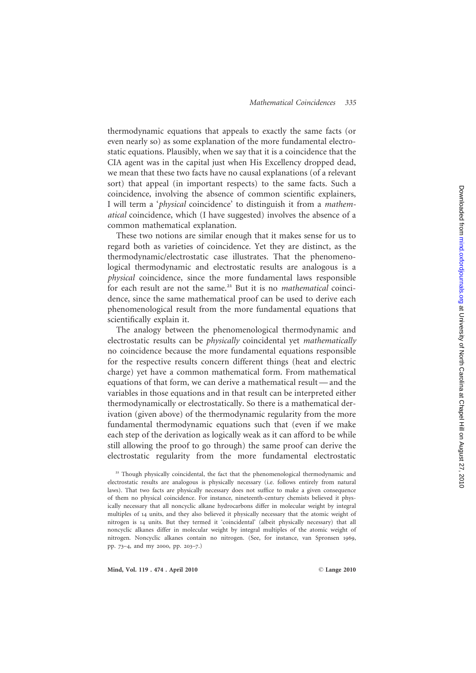thermodynamic equations that appeals to exactly the same facts (or even nearly so) as some explanation of the more fundamental electrostatic equations. Plausibly, when we say that it is a coincidence that the CIA agent was in the capital just when His Excellency dropped dead, we mean that these two facts have no causal explanations (of a relevant sort) that appeal (in important respects) to the same facts. Such a coincidence, involving the absence of common scientific explainers, I will term a 'physical coincidence' to distinguish it from a mathematical coincidence, which (I have suggested) involves the absence of a common mathematical explanation.

These two notions are similar enough that it makes sense for us to regard both as varieties of coincidence. Yet they are distinct, as the thermodynamic/electrostatic case illustrates. That the phenomenological thermodynamic and electrostatic results are analogous is a physical coincidence, since the more fundamental laws responsible for each result are not the same.<sup>21</sup> But it is no *mathematical* coincidence, since the same mathematical proof can be used to derive each phenomenological result from the more fundamental equations that scientifically explain it.

The analogy between the phenomenological thermodynamic and electrostatic results can be physically coincidental yet mathematically no coincidence because the more fundamental equations responsible for the respective results concern different things (heat and electric charge) yet have a common mathematical form. From mathematical equations of that form, we can derive a mathematical result — and the variables in those equations and in that result can be interpreted either thermodynamically or electrostatically. So there is a mathematical derivation (given above) of the thermodynamic regularity from the more fundamental thermodynamic equations such that (even if we make each step of the derivation as logically weak as it can afford to be while still allowing the proof to go through) the same proof can derive the electrostatic regularity from the more fundamental electrostatic

<sup>&</sup>lt;sup>21</sup> Though physically coincidental, the fact that the phenomenological thermodynamic and electrostatic results are analogous is physically necessary (i.e. follows entirely from natural laws). That two facts are physically necessary does not suffice to make a given consequence of them no physical coincidence. For instance, nineteenth-century chemists believed it physically necessary that all noncyclic alkane hydrocarbons differ in molecular weight by integral multiples of 14 units, and they also believed it physically necessary that the atomic weight of nitrogen is 14 units. But they termed it 'coincidental' (albeit physically necessary) that all noncyclic alkanes differ in molecular weight by integral multiples of the atomic weight of nitrogen. Noncyclic alkanes contain no nitrogen. (See, for instance, van Spronsen 1969 , pp. 73 – 4, and my 2000, pp. 203 – 7.)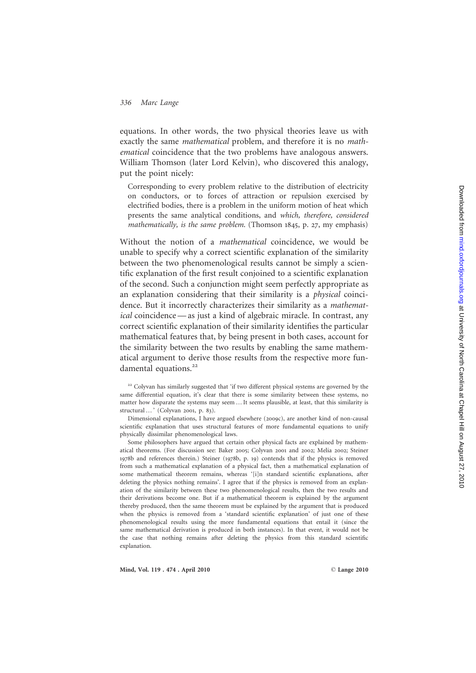equations. In other words, the two physical theories leave us with exactly the same mathematical problem, and therefore it is no mathematical coincidence that the two problems have analogous answers. William Thomson (later Lord Kelvin), who discovered this analogy, put the point nicely:

Corresponding to every problem relative to the distribution of electricity on conductors, or to forces of attraction or repulsion exercised by electrified bodies, there is a problem in the uniform motion of heat which presents the same analytical conditions, and which, therefore, considered mathematically, is the same problem. (Thomson 1845, p. 27, my emphasis)

Without the notion of a mathematical coincidence, we would be unable to specify why a correct scientific explanation of the similarity between the two phenomenological results cannot be simply a scientific explanation of the first result conjoined to a scientific explanation of the second. Such a conjunction might seem perfectly appropriate as an explanation considering that their similarity is a physical coincidence. But it incorrectly characterizes their similarity as a mathematical coincidence — as just a kind of algebraic miracle. In contrast, any correct scientific explanation of their similarity identifies the particular mathematical features that, by being present in both cases, account for the similarity between the two results by enabling the same mathematical argument to derive those results from the respective more fundamental equations.<sup>22</sup>

Dimensional explanations, I have argued elsewhere (2009c), are another kind of non-causal scientific explanation that uses structural features of more fundamental equations to unify physically dissimilar phenomenological laws.

Some philosophers have argued that certain other physical facts are explained by mathematical theorems. (For discussion see: Baker 2005; Colyvan 2001 and 2002; Melia 2002; Steiner 1978b and references therein.) Steiner (1978b, p. 19) contends that if the physics is removed from such a mathematical explanation of a physical fact, then a mathematical explanation of some mathematical theorem remains, whereas '[i]n standard scientific explanations, after deleting the physics nothing remains'. I agree that if the physics is removed from an explanation of the similarity between these two phenomenological results, then the two results and their derivations become one. But if a mathematical theorem is explained by the argument thereby produced, then the same theorem must be explained by the argument that is produced when the physics is removed from a 'standard scientific explanation' of just one of these phenomenological results using the more fundamental equations that entail it (since the same mathematical derivation is produced in both instances). In that event, it would not be the case that nothing remains after deleting the physics from this standard scientific explanation.

<sup>&</sup>lt;sup>22</sup> Colyvan has similarly suggested that 'if two different physical systems are governed by the same differential equation, it's clear that there is some similarity between these systems, no matter how disparate the systems may seem … It seems plausible, at least, that this similarity is structural … ' (Colyvan 2001, p. 83).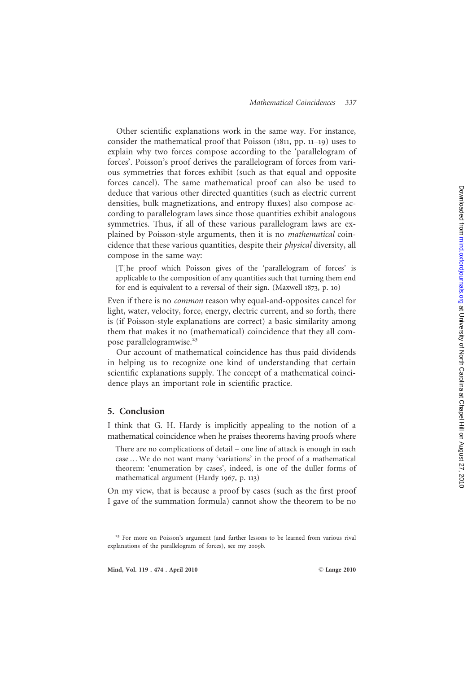Other scientific explanations work in the same way. For instance, consider the mathematical proof that Poisson (1811, pp. 11 –19) uses to explain why two forces compose according to the 'parallelogram of forces'. Poisson's proof derives the parallelogram of forces from various symmetries that forces exhibit (such as that equal and opposite forces cancel). The same mathematical proof can also be used to deduce that various other directed quantities (such as electric current densities, bulk magnetizations, and entropy fluxes) also compose according to parallelogram laws since those quantities exhibit analogous symmetries. Thus, if all of these various parallelogram laws are explained by Poisson-style arguments, then it is no mathematical coincidence that these various quantities, despite their physical diversity, all compose in the same way:

[T]he proof which Poisson gives of the 'parallelogram of forces' is applicable to the composition of any quantities such that turning them end for end is equivalent to a reversal of their sign. (Maxwell 1873, p. 10 )

Even if there is no common reason why equal-and-opposites cancel for light, water, velocity, force, energy, electric current, and so forth, there is (if Poisson-style explanations are correct) a basic similarity among them that makes it no (mathematical) coincidence that they all compose parallelogramwise.<sup>23</sup>

Our account of mathematical coincidence has thus paid dividends in helping us to recognize one kind of understanding that certain scientific explanations supply. The concept of a mathematical coincidence plays an important role in scientific practice.

#### 5. Conclusion

I think that G. H. Hardy is implicitly appealing to the notion of a mathematical coincidence when he praises theorems having proofs where

There are no complications of detail – one line of attack is enough in each case … We do not want many 'variations' in the proof of a mathematical theorem: 'enumeration by cases', indeed, is one of the duller forms of mathematical argument (Hardy 1967, p. 113 )

On my view, that is because a proof by cases (such as the first proof I gave of the summation formula) cannot show the theorem to be no

<sup>&</sup>lt;sup>23</sup> For more on Poisson's argument (and further lessons to be learned from various rival explanations of the parallelogram of forces), see my 2009b.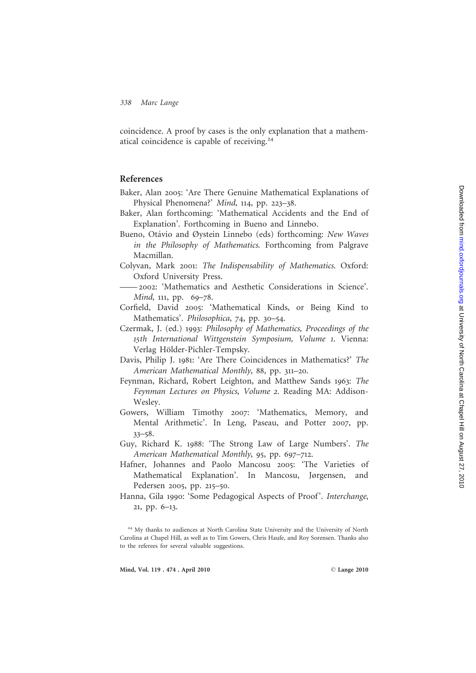Downloaded from mind.oxfordjournals.org at University of North Carolina at Chapel Hill on August 27, 2010 Downloaded from [mind.oxfordjournals.org](http://mind.oxfordjournals.org/) at University of North Carolina at Chapel Hill on August 27, 2010

338 Marc Lange

coincidence. A proof by cases is the only explanation that a mathematical coincidence is capable of receiving.<sup>24</sup>

### References

- Baker, Alan 2005: 'Are There Genuine Mathematical Explanations of Physical Phenomena?' Mind, 114, pp. 223-38.
- Baker, Alan forthcoming: 'Mathematical Accidents and the End of Explanation'. Forthcoming in Bueno and Linnebo.
- Bueno, Otávio and Øystein Linnebo (eds) forthcoming: New Waves in the Philosophy of Mathematics. Forthcoming from Palgrave Macmillan.
- Colyvan, Mark 2001 : The Indispensability of Mathematics. Oxford: Oxford University Press.
- —— 2002: 'Mathematics and Aesthetic Considerations in Science'. Mind, 111, pp. 69-78.
- Corfield, David 2005: 'Mathematical Kinds, or Being Kind to Mathematics'. Philosophica, 74, pp. 30-54.
- Czermak, J. (ed.) 1993 : Philosophy of Mathematics, Proceedings of the 15th International Wittgenstein Symposium, Volume 1. Vienna: Verlag Hölder-Pichler-Tempsky.
- Davis, Philip J. 1981: 'Are There Coincidences in Mathematics?' The American Mathematical Monthly, 88, pp. 311-20.
- Feynman, Richard, Robert Leighton, and Matthew Sands 1963: The Feynman Lectures on Physics, Volume 2. Reading MA: Addison-Wesley.
- Gowers, William Timothy 2007: 'Mathematics, Memory, and Mental Arithmetic'. In Leng, Paseau, and Potter 2007, pp. 33 –58 .
- Guy, Richard K. 1988: 'The Strong Law of Large Numbers'. The American Mathematical Monthly, 95, pp. 697-712.
- Hafner, Johannes and Paolo Mancosu 2005: 'The Varieties of Mathematical Explanation'. In Mancosu, Jørgensen, and Pedersen 2005, pp. 215-50.
- Hanna, Gila 1990: 'Some Pedagogical Aspects of Proof'. Interchange, 21, pp. 6 –13 .

<sup>&</sup>lt;sup>24</sup> My thanks to audiences at North Carolina State University and the University of North Carolina at Chapel Hill, as well as to Tim Gowers, Chris Haufe, and Roy Sorensen. Thanks also to the referees for several valuable suggestions.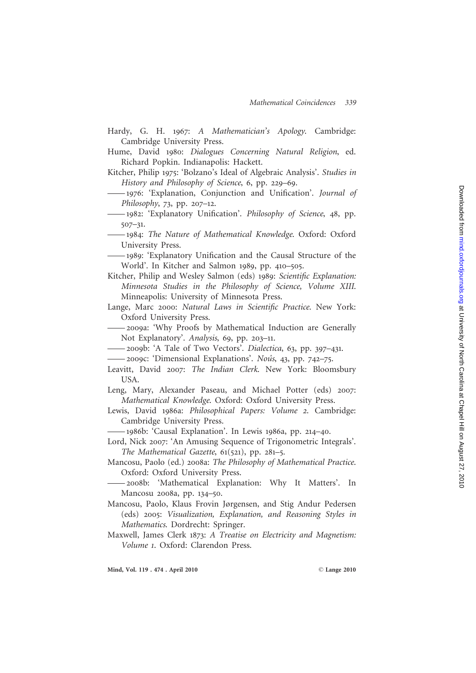- Hardy, G. H. 1967: A Mathematician's Apology. Cambridge: Cambridge University Press.
- Hume, David 1980: Dialogues Concerning Natural Religion, ed. Richard Popkin. Indianapolis: Hackett.
- Kitcher, Philip 1975: 'Bolzano's Ideal of Algebraic Analysis'. Studies in History and Philosophy of Science, 6, pp. 229-69.
- —— 1976: 'Explanation, Conjunction and Unification'. Journal of Philosophy, 73, pp. 207-12.
- 1982: 'Explanatory Unification'. Philosophy of Science, 48, pp. 507 –31 .
- —— 1984 : The Nature of Mathematical Knowledge. Oxford: Oxford University Press.
- —— 1989: 'Explanatory Unification and the Causal Structure of the World'. In Kitcher and Salmon 1989, pp. 410-505.
- Kitcher, Philip and Wesley Salmon (eds) 1989: Scientific Explanation: Minnesota Studies in the Philosophy of Science, Volume XIII. Minneapolis: University of Minnesota Press.
- Lange, Marc 2000: Natural Laws in Scientific Practice. New York: Oxford University Press.
- —— 2009a: 'Why Proofs by Mathematical Induction are Generally Not Explanatory'. Analysis, 69, pp. 203-11.
- 2009b: 'A Tale of Two Vectors'. Dialectica, 63, pp. 397-431.
- 2009c: 'Dimensional Explanations'. Nous, 43, pp. 742-75.
- Leavitt, David 2007: The Indian Clerk. New York: Bloomsbury USA.
- Leng, Mary, Alexander Paseau, and Michael Potter (eds) 2007 : Mathematical Knowledge. Oxford: Oxford University Press.
- Lewis, David 1986a: Philosophical Papers: Volume 2. Cambridge: Cambridge University Press.
- —— 1986b: 'Causal Explanation'. In Lewis 1986a, pp. 214 –40 .
- Lord, Nick 2007: 'An Amusing Sequence of Trigonometric Integrals'. The Mathematical Gazette, 61(521), pp. 281-5.
- Mancosu, Paolo (ed.) 2008a: The Philosophy of Mathematical Practice . Oxford: Oxford University Press.
- —— 2008b: 'Mathematical Explanation: Why It Matters'. In Mancosu 2008a, pp. 134-50.
- Mancosu, Paolo, Klaus Frovin Jørgensen, and Stig Andur Pedersen (eds) 2005 : Visualization, Explanation, and Reasoning Styles in Mathematics. Dordrecht: Springer.
- Maxwell, James Clerk 1873 : A Treatise on Electricity and Magnetism: Volume 1. Oxford: Clarendon Press.